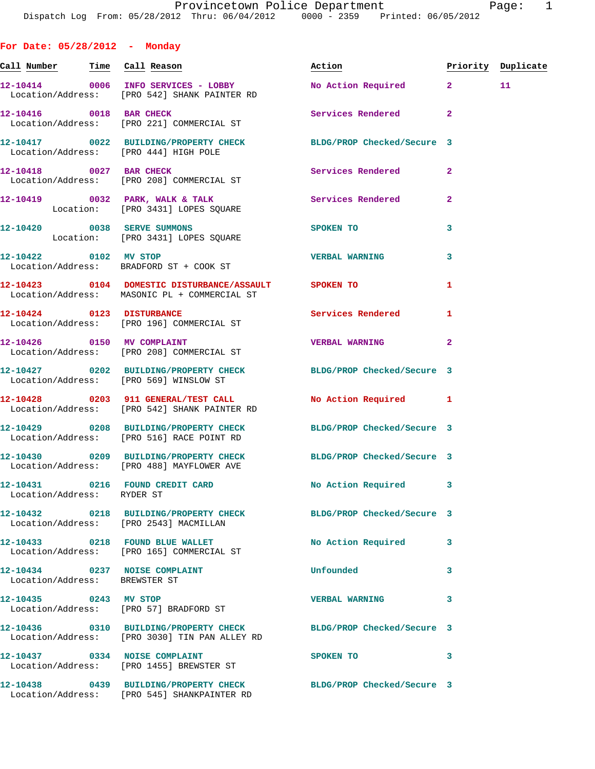**For Date: 05/28/2012 - Monday** Call Number Time Call Reason **Reason Action Action** Priority Duplicate **12-10414 0006 INFO SERVICES - LOBBY No Action Required 2 11**  Location/Address: [PRO 542] SHANK PAINTER RD **12-10416** 0018 BAR CHECK Services Rendered 2 Location/Address: [PRO 221] COMMERCIAL ST **12-10417 0022 BUILDING/PROPERTY CHECK BLDG/PROP Checked/Secure 3**  Location/Address: [PRO 444] HIGH POLE **12-10418 0027 BAR CHECK Services Rendered 2**  Location/Address: [PRO 208] COMMERCIAL ST **12-10419 0032 PARK, WALK & TALK Services Rendered 2**  Location: [PRO 3431] LOPES SQUARE **12-10420 0038 SERVE SUMMONS SPOKEN TO 3**  Location: [PRO 3431] LOPES SQUARE **12-10422 0102 MV STOP VERBAL WARNING 3**  Location/Address: BRADFORD ST + COOK ST **12-10423 0104 DOMESTIC DISTURBANCE/ASSAULT SPOKEN TO 1**  Location/Address: MASONIC PL + COMMERCIAL ST **12-10424 0123 DISTURBANCE Services Rendered 1**  Location/Address: [PRO 196] COMMERCIAL ST **12-10426 0150 MV COMPLAINT VERBAL WARNING 2**  Location/Address: [PRO 208] COMMERCIAL ST **12-10427 0202 BUILDING/PROPERTY CHECK BLDG/PROP Checked/Secure 3**  Location/Address: [PRO 569] WINSLOW ST **12-10428 0203 911 GENERAL/TEST CALL No Action Required 1**  Location/Address: [PRO 542] SHANK PAINTER RD **12-10429 0208 BUILDING/PROPERTY CHECK BLDG/PROP Checked/Secure 3**  Location/Address: [PRO 516] RACE POINT RD **12-10430 0209 BUILDING/PROPERTY CHECK BLDG/PROP Checked/Secure 3**  Location/Address: [PRO 488] MAYFLOWER AVE **12-10431 0216 FOUND CREDIT CARD No Action Required 3**  Location/Address: RYDER ST **12-10432 0218 BUILDING/PROPERTY CHECK BLDG/PROP Checked/Secure 3**  Location/Address: [PRO 2543] MACMILLAN **12-10433 0218 FOUND BLUE WALLET No Action Required 3**  Location/Address: [PRO 165] COMMERCIAL ST **12-10434 0237 NOISE COMPLAINT Unfounded 3**  Location/Address: BREWSTER ST **12-10435 0243 MV STOP VERBAL WARNING 3**  Location/Address: [PRO 57] BRADFORD ST **12-10436 0310 BUILDING/PROPERTY CHECK BLDG/PROP Checked/Secure 3**  Location/Address: [PRO 3030] TIN PAN ALLEY RD **12-10437** 0334 NOISE COMPLAINT SPOKEN TO 3 Location/Address: [PRO 1455] BREWSTER ST

Location/Address: [PRO 545] SHANKPAINTER RD

**12-10438 0439 BUILDING/PROPERTY CHECK BLDG/PROP Checked/Secure 3**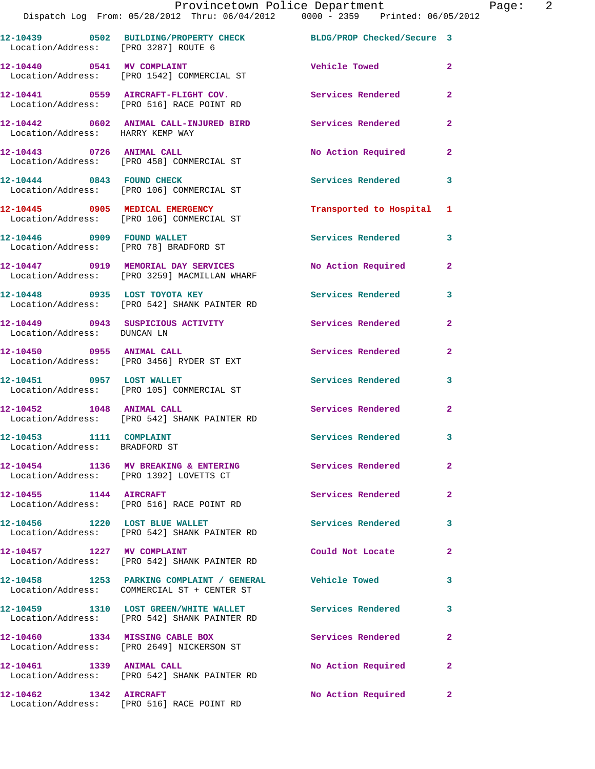|                                                          | Provincetown Police Department<br>Dispatch Log From: 05/28/2012 Thru: 06/04/2012 0000 - 2359 Printed: 06/05/2012 |                          |                |
|----------------------------------------------------------|------------------------------------------------------------------------------------------------------------------|--------------------------|----------------|
| Location/Address: [PRO 3287] ROUTE 6                     | 12-10439 0502 BUILDING/PROPERTY CHECK BLDG/PROP Checked/Secure 3                                                 |                          |                |
|                                                          | 12-10440 0541 MV COMPLAINT<br>Location/Address: [PRO 1542] COMMERCIAL ST                                         | Vehicle Towed            | $\overline{a}$ |
|                                                          | 12-10441 0559 AIRCRAFT-FLIGHT COV. Services Rendered<br>Location/Address: [PRO 516] RACE POINT RD                |                          | $\overline{a}$ |
| Location/Address: HARRY KEMP WAY                         | 12-10442 0602 ANIMAL CALL-INJURED BIRD Services Rendered                                                         |                          | $\overline{a}$ |
|                                                          | 12-10443 0726 ANIMAL CALL<br>Location/Address: [PRO 458] COMMERCIAL ST                                           | No Action Required       | 2              |
| 12-10444 0843 FOUND CHECK                                | Location/Address: [PRO 106] COMMERCIAL ST                                                                        | Services Rendered        | 3              |
|                                                          | 12-10445 0905 MEDICAL EMERGENCY<br>Location/Address: [PRO 106] COMMERCIAL ST                                     | Transported to Hospital  | 1              |
| 12-10446 0909 FOUND WALLET                               | Location/Address: [PRO 78] BRADFORD ST                                                                           | Services Rendered        | 3              |
|                                                          | 12-10447 0919 MEMORIAL DAY SERVICES<br>Location/Address: [PRO 3259] MACMILLAN WHARF                              | No Action Required       | $\mathbf{2}$   |
|                                                          | 12-10448 0935 LOST TOYOTA KEY<br>Location/Address: [PRO 542] SHANK PAINTER RD                                    | <b>Services Rendered</b> | 3              |
| Location/Address: DUNCAN LN                              | 12-10449 0943 SUSPICIOUS ACTIVITY Services Rendered                                                              |                          | $\mathbf{2}$   |
|                                                          | 12-10450 0955 ANIMAL CALL<br>Location/Address: [PRO 3456] RYDER ST EXT                                           | Services Rendered        | $\mathbf{2}$   |
|                                                          | 12-10451 0957 LOST WALLET<br>Location/Address: [PRO 105] COMMERCIAL ST                                           | <b>Services Rendered</b> | 3              |
| 12-10452 1048 ANIMAL CALL                                | Location/Address: [PRO 542] SHANK PAINTER RD                                                                     | <b>Services Rendered</b> | 2              |
| 12-10453 1111 COMPLAINT<br>Location/Address: BRADFORD ST |                                                                                                                  | Services Rendered        | 3              |
|                                                          | 12-10454 1136 MV BREAKING & ENTERING<br>Location/Address: [PRO 1392] LOVETTS CT                                  | Services Rendered        | $\mathbf{2}$   |
| 12-10455 1144 AIRCRAFT                                   | Location/Address: [PRO 516] RACE POINT RD                                                                        | Services Rendered        | $\mathbf{2}$   |
| 12-10456 1220 LOST BLUE WALLET                           | Location/Address: [PRO 542] SHANK PAINTER RD                                                                     | Services Rendered        | 3              |
|                                                          | Location/Address: [PRO 542] SHANK PAINTER RD                                                                     | Could Not Locate         | $\mathbf{2}$   |
|                                                          | 12-10458 1253 PARKING COMPLAINT / GENERAL Vehicle Towed<br>Location/Address: COMMERCIAL ST + CENTER ST           |                          | 3              |
|                                                          | 12-10459 1310 LOST GREEN/WHITE WALLET<br>Location/Address: [PRO 542] SHANK PAINTER RD                            | <b>Services Rendered</b> | 3              |
|                                                          | 12-10460 1334 MISSING CABLE BOX<br>Location/Address: [PRO 2649] NICKERSON ST                                     | Services Rendered        | $\mathbf{2}$   |
| 12-10461 1339 ANIMAL CALL                                | Location/Address: [PRO 542] SHANK PAINTER RD                                                                     | No Action Required       | $\overline{a}$ |
| 12-10462 1342 AIRCRAFT                                   | Location/Address: [PRO 516] RACE POINT RD                                                                        | No Action Required       | 2              |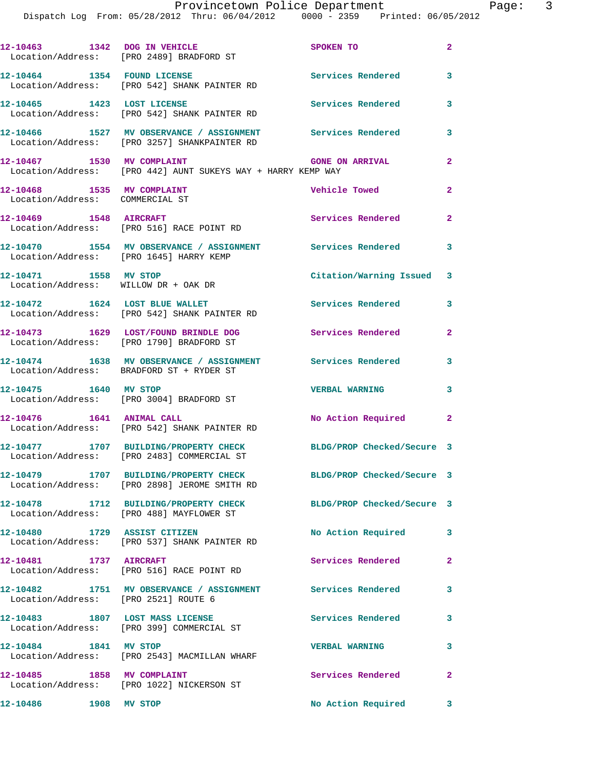|                             | Provincetown Police Department                                                 |                        |   |
|-----------------------------|--------------------------------------------------------------------------------|------------------------|---|
|                             | Dispatch Log From: 05/28/2012 Thru: 06/04/2012 0000 - 2359 Printed: 06/05/2012 |                        |   |
|                             |                                                                                |                        |   |
|                             |                                                                                |                        |   |
|                             |                                                                                | SPOKEN TO              | 2 |
|                             | Location/Address: [PRO 2489] BRADFORD ST                                       |                        |   |
|                             |                                                                                |                        |   |
| 12-10464 1354 FOUND LICENSE |                                                                                | Services Rendered      | 3 |
|                             | Location/Address: [PRO 542] SHANK PAINTER RD                                   |                        |   |
| 12-10465                    | 1423 LOST LICENSE                                                              | Services Rendered      | 3 |
|                             | Location/Address: [PRO 542] SHANK PAINTER RD                                   |                        |   |
|                             |                                                                                |                        |   |
| 12-10466                    | 1527 MV OBSERVANCE / ASSIGNMENT                                                | Services Rendered      | 3 |
|                             | Location/Address: [PRO 3257] SHANKPAINTER RD                                   |                        |   |
|                             |                                                                                |                        |   |
| 12-10467<br>1530            | MV COMPLAINT                                                                   | <b>GONE ON ARRIVAL</b> | 2 |

**12-10469 1548 AIRCRAFT Services Rendered 2**  Location/Address: [PRO 516] RACE POINT RD **12-10470 1554 MV OBSERVANCE / ASSIGNMENT Services Rendered 3**  Location/Address: [PRO 1645] HARRY KEMP **12-10471 1558 MV STOP Citation/Warning Issued 3**  Location/Address: WILLOW DR + OAK DR 12-10472 1624 LOST BLUE WALLET **12-10472** Services Rendered 3 Location/Address: [PRO 542] SHANK PAINTER RD **12-10473 1629 LOST/FOUND BRINDLE DOG Services Rendered 2**  Location/Address: [PRO 1790] BRADFORD ST **12-10474 1638 MV OBSERVANCE / ASSIGNMENT Services Rendered 3**  Location/Address: BRADFORD ST + RYDER ST **12-10475 1640 MV STOP VERBAL WARNING 3**  Location/Address: [PRO 3004] BRADFORD ST **12-10476 1641 ANIMAL CALL No Action Required 2**  Location/Address: [PRO 542] SHANK PAINTER RD **12-10477 1707 BUILDING/PROPERTY CHECK BLDG/PROP Checked/Secure 3**  Location/Address: [PRO 2483] COMMERCIAL ST **12-10479 1707 BUILDING/PROPERTY CHECK BLDG/PROP Checked/Secure 3**  Location/Address: [PRO 2898] JEROME SMITH RD **12-10478 1712 BUILDING/PROPERTY CHECK BLDG/PROP Checked/Secure 3**  Location/Address: [PRO 488] MAYFLOWER ST **12-10480 1729 ASSIST CITIZEN No Action Required 3**  Location/Address: [PRO 537] SHANK PAINTER RD

12-10468 1535 MV COMPLAINT Vehicle Towed 2

**12-10481 1737 AIRCRAFT Services Rendered 2**  Location/Address: [PRO 516] RACE POINT RD

Location/Address: [PRO 442] AUNT SUKEYS WAY + HARRY KEMP WAY

Location/Address: COMMERCIAL ST

**12-10482 1751 MV OBSERVANCE / ASSIGNMENT Services Rendered 3**  Location/Address: [PRO 2521] ROUTE 6

**12-10483 1807 LOST MASS LICENSE Services Rendered 3**  Location/Address: [PRO 399] COMMERCIAL ST

**12-10484 1841 MV STOP VERBAL WARNING 3**  Location/Address: [PRO 2543] MACMILLAN WHARF

**12-10485 1858 MV COMPLAINT Services Rendered 2**  Location/Address: [PRO 1022] NICKERSON ST

**12-10486 1908 MV STOP No Action Required 3**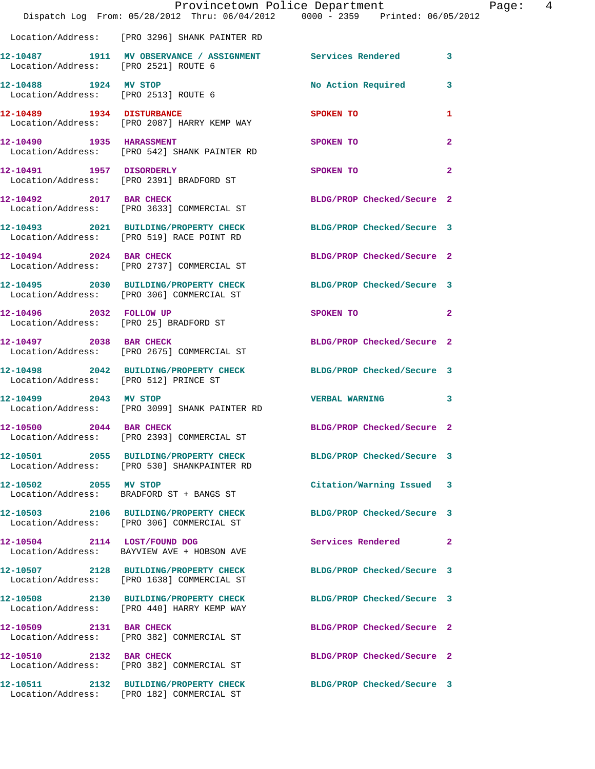|                                                               | Provincetown Police Department<br>Dispatch Log From: 05/28/2012 Thru: 06/04/2012 0000 - 2359 Printed: 06/05/2012 |                            |                |
|---------------------------------------------------------------|------------------------------------------------------------------------------------------------------------------|----------------------------|----------------|
|                                                               | Location/Address: [PRO 3296] SHANK PAINTER RD                                                                    |                            |                |
| Location/Address: [PRO 2521] ROUTE 6                          | 12-10487 1911 MV OBSERVANCE / ASSIGNMENT Services Rendered                                                       |                            | 3              |
| 12-10488 1924 MV STOP<br>Location/Address: [PRO 2513] ROUTE 6 |                                                                                                                  | No Action Required         | 3              |
| 12-10489 1934 DISTURBANCE                                     | Location/Address: [PRO 2087] HARRY KEMP WAY                                                                      | SPOKEN TO                  | 1              |
|                                                               | 12-10490 1935 HARASSMENT<br>Location/Address: [PRO 542] SHANK PAINTER RD                                         | SPOKEN TO                  | $\mathbf{2}$   |
| 12-10491 1957 DISORDERLY                                      | Location/Address: [PRO 2391] BRADFORD ST                                                                         | SPOKEN TO                  | $\overline{a}$ |
| 12-10492 2017 BAR CHECK                                       | Location/Address: [PRO 3633] COMMERCIAL ST                                                                       | BLDG/PROP Checked/Secure 2 |                |
|                                                               | 12-10493 2021 BUILDING/PROPERTY CHECK<br>Location/Address: [PRO 519] RACE POINT RD                               | BLDG/PROP Checked/Secure 3 |                |
|                                                               | 12-10494 2024 BAR CHECK<br>Location/Address: [PRO 2737] COMMERCIAL ST                                            | BLDG/PROP Checked/Secure 2 |                |
|                                                               | 12-10495 2030 BUILDING/PROPERTY CHECK<br>Location/Address: [PRO 306] COMMERCIAL ST                               | BLDG/PROP Checked/Secure 3 |                |
| 12-10496 2032 FOLLOW UP                                       | Location/Address: [PRO 25] BRADFORD ST                                                                           | SPOKEN TO                  | 2              |
| 12-10497 2038 BAR CHECK                                       | Location/Address: [PRO 2675] COMMERCIAL ST                                                                       | BLDG/PROP Checked/Secure 2 |                |
| Location/Address: [PRO 512] PRINCE ST                         | 12-10498 2042 BUILDING/PROPERTY CHECK                                                                            | BLDG/PROP Checked/Secure 3 |                |
| 12-10499 2043 MV STOP                                         | Location/Address: [PRO 3099] SHANK PAINTER RD                                                                    | <b>VERBAL WARNING</b>      | 3              |
| 12-10500 2044 BAR CHECK                                       | Location/Address: [PRO 2393] COMMERCIAL ST                                                                       | BLDG/PROP Checked/Secure 2 |                |
|                                                               | 12-10501 2055 BUILDING/PROPERTY CHECK<br>Location/Address: [PRO 530] SHANKPAINTER RD                             | BLDG/PROP Checked/Secure 3 |                |
| 12-10502 2055 MV STOP                                         | Location/Address: BRADFORD ST + BANGS ST                                                                         | Citation/Warning Issued    | 3              |
|                                                               | 12-10503 2106 BUILDING/PROPERTY CHECK<br>Location/Address: [PRO 306] COMMERCIAL ST                               | BLDG/PROP Checked/Secure 3 |                |
|                                                               | 12-10504 2114 LOST/FOUND DOG<br>Location/Address: BAYVIEW AVE + HOBSON AVE                                       | Services Rendered          | 2              |
|                                                               | 12-10507 2128 BUILDING/PROPERTY CHECK<br>Location/Address: [PRO 1638] COMMERCIAL ST                              | BLDG/PROP Checked/Secure 3 |                |
|                                                               | 12-10508 2130 BUILDING/PROPERTY CHECK<br>Location/Address: [PRO 440] HARRY KEMP WAY                              | BLDG/PROP Checked/Secure 3 |                |
| 12-10509 2131 BAR CHECK                                       | Location/Address: [PRO 382] COMMERCIAL ST                                                                        | BLDG/PROP Checked/Secure 2 |                |
| 12-10510 2132 BAR CHECK                                       | Location/Address: [PRO 382] COMMERCIAL ST                                                                        | BLDG/PROP Checked/Secure 2 |                |
|                                                               | 12-10511 2132 BUILDING/PROPERTY CHECK<br>Location/Address: [PRO 182] COMMERCIAL ST                               | BLDG/PROP Checked/Secure 3 |                |

Page: 4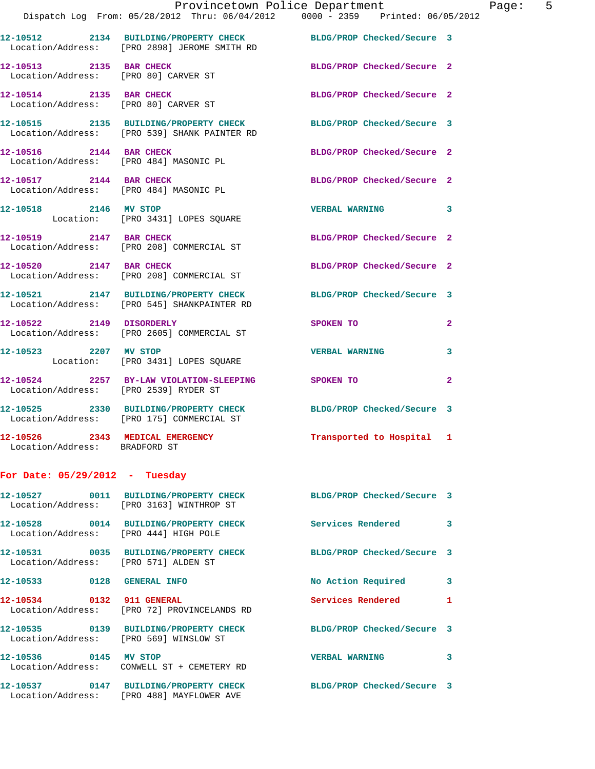|                                                                   | Provincetown Police Department                                                                                   |                            |                |
|-------------------------------------------------------------------|------------------------------------------------------------------------------------------------------------------|----------------------------|----------------|
|                                                                   | Dispatch Log From: 05/28/2012 Thru: 06/04/2012 0000 - 2359 Printed: 06/05/2012                                   |                            |                |
|                                                                   | 12-10512 2134 BUILDING/PROPERTY CHECK BLDG/PROP Checked/Secure 3<br>Location/Address: [PRO 2898] JEROME SMITH RD |                            |                |
| 12-10513 2135 BAR CHECK<br>Location/Address: [PRO 80] CARVER ST   |                                                                                                                  | BLDG/PROP Checked/Secure 2 |                |
|                                                                   | 12-10514 2135 BAR CHECK<br>Location/Address: [PRO 80] CARVER ST                                                  | BLDG/PROP Checked/Secure 2 |                |
|                                                                   | 12-10515 2135 BUILDING/PROPERTY CHECK BLDG/PROP Checked/Secure 3<br>Location/Address: [PRO 539] SHANK PAINTER RD |                            |                |
| 12-10516 2144 BAR CHECK                                           | Location/Address: [PRO 484] MASONIC PL                                                                           | BLDG/PROP Checked/Secure 2 |                |
| 12-10517 2144 BAR CHECK<br>Location/Address: [PRO 484] MASONIC PL |                                                                                                                  | BLDG/PROP Checked/Secure 2 |                |
| 12-10518 2146 MV STOP                                             | Location: [PRO 3431] LOPES SQUARE                                                                                | <b>VERBAL WARNING</b>      | 3              |
|                                                                   | 12-10519 2147 BAR CHECK<br>Location/Address: [PRO 208] COMMERCIAL ST                                             | BLDG/PROP Checked/Secure 2 |                |
| 12-10520 2147 BAR CHECK                                           | Location/Address: [PRO 208] COMMERCIAL ST                                                                        | BLDG/PROP Checked/Secure 2 |                |
|                                                                   | 12-10521 2147 BUILDING/PROPERTY CHECK BLDG/PROP Checked/Secure 3<br>Location/Address: [PRO 545] SHANKPAINTER RD  |                            |                |
| 12-10522 2149 DISORDERLY                                          | Location/Address: [PRO 2605] COMMERCIAL ST                                                                       | <b>SPOKEN TO</b>           | $\overline{a}$ |
|                                                                   | 12-10523 2207 MV STOP<br>Location: [PRO 3431] LOPES SQUARE                                                       | <b>VERBAL WARNING</b>      | 3              |
| Location/Address: [PRO 2539] RYDER ST                             | 12-10524 2257 BY-LAW VIOLATION-SLEEPING SPOKEN TO                                                                |                            | $\mathbf{2}$   |
|                                                                   | 12-10525 2330 BUILDING/PROPERTY CHECK<br>Location/Address: [PRO 175] COMMERCIAL ST                               | BLDG/PROP Checked/Secure 3 |                |
| 12-10526 2343 MEDICAL EMERGENCY<br>Location/Address: BRADFORD ST  |                                                                                                                  | Transported to Hospital 1  |                |
| For Date: $05/29/2012$ - Tuesday                                  |                                                                                                                  |                            |                |
|                                                                   | 12-10527 0011 BUILDING/PROPERTY CHECK<br>Location/Address: [PRO 3163] WINTHROP ST                                | BLDG/PROP Checked/Secure 3 |                |
| Location/Address: [PRO 444] HIGH POLE                             | 12-10528 0014 BUILDING/PROPERTY CHECK                                                                            | <b>Services Rendered</b>   | 3              |
| Location/Address: [PRO 571] ALDEN ST                              | 12-10531 0035 BUILDING/PROPERTY CHECK                                                                            | BLDG/PROP Checked/Secure 3 |                |
| 12-10533 0128 GENERAL INFO                                        |                                                                                                                  | No Action Required         | 3              |
| 12-10534 0132 911 GENERAL                                         | Location/Address: [PRO 72] PROVINCELANDS RD                                                                      | Services Rendered          | 1              |
| Location/Address: [PRO 569] WINSLOW ST                            | 12-10535 0139 BUILDING/PROPERTY CHECK                                                                            | BLDG/PROP Checked/Secure 3 |                |
| 12-10536 0145 MV STOP                                             | Location/Address: CONWELL ST + CEMETERY RD                                                                       | <b>VERBAL WARNING</b>      | 3              |
|                                                                   | 12-10537 0147 BUILDING/PROPERTY CHECK<br>Location/Address: [PRO 488] MAYFLOWER AVE                               | BLDG/PROP Checked/Secure 3 |                |

Page:  $5$ <br>  $2012$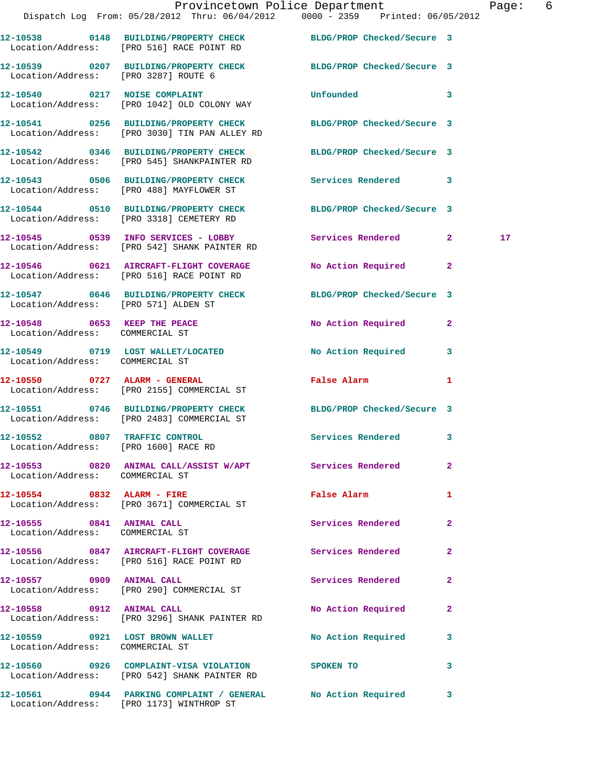|                                                                       | Dispatch Log From: 05/28/2012 Thru: 06/04/2012 0000 - 2359 Printed: 06/05/2012                                    | Provincetown Police Department Page: 6                                                                         |              |                 |  |
|-----------------------------------------------------------------------|-------------------------------------------------------------------------------------------------------------------|----------------------------------------------------------------------------------------------------------------|--------------|-----------------|--|
|                                                                       | 12-10538 0148 BUILDING/PROPERTY CHECK BLDG/PROP Checked/Secure 3<br>Location/Address: [PRO 516] RACE POINT RD     |                                                                                                                |              |                 |  |
| Location/Address: [PRO 3287] ROUTE 6                                  | 12-10539 0207 BUILDING/PROPERTY CHECK BLDG/PROP Checked/Secure 3                                                  |                                                                                                                |              |                 |  |
|                                                                       | 12-10540 0217 NOISE COMPLAINT<br>Location/Address: [PRO 1042] OLD COLONY WAY                                      | <b>Unfounded</b>                                                                                               | 3            |                 |  |
|                                                                       | 12-10541 0256 BUILDING/PROPERTY CHECK BLDG/PROP Checked/Secure 3<br>Location/Address: [PRO 3030] TIN PAN ALLEY RD |                                                                                                                |              |                 |  |
|                                                                       | 12-10542 0346 BUILDING/PROPERTY CHECK BLDG/PROP Checked/Secure 3<br>Location/Address: [PRO 545] SHANKPAINTER RD   |                                                                                                                |              |                 |  |
|                                                                       | 12-10543 0506 BUILDING/PROPERTY CHECK Services Rendered 3<br>Location/Address: [PRO 488] MAYFLOWER ST             |                                                                                                                |              |                 |  |
|                                                                       | 12-10544 0510 BUILDING/PROPERTY CHECK BLDG/PROP Checked/Secure 3<br>Location/Address: [PRO 3318] CEMETERY RD      |                                                                                                                |              |                 |  |
|                                                                       | Location/Address: [PRO 542] SHANK PAINTER RD                                                                      |                                                                                                                |              | 17 <sub>2</sub> |  |
|                                                                       | 12-10546 0621 AIRCRAFT-FLIGHT COVERAGE<br>Location/Address: [PRO 516] RACE POINT RD                               | No Action Required 2                                                                                           |              |                 |  |
| Location/Address: [PRO 571] ALDEN ST                                  | 12-10547 0646 BUILDING/PROPERTY CHECK BLDG/PROP Checked/Secure 3                                                  |                                                                                                                |              |                 |  |
| Location/Address: COMMERCIAL ST                                       | 12-10548 0653 KEEP THE PEACE                                                                                      | No Action Required 2                                                                                           |              |                 |  |
| Location/Address: COMMERCIAL ST                                       | 12-10549 0719 LOST WALLET/LOCATED                                                                                 | No Action Required 3                                                                                           |              |                 |  |
|                                                                       | 12-10550 0727 ALARM - GENERAL<br>Location/Address: [PRO 2155] COMMERCIAL ST                                       | False Alarm and the state of the state of the state of the state of the state of the state of the state of the | 1            |                 |  |
|                                                                       | 12-10551 0746 BUILDING/PROPERTY CHECK BLDG/PROP Checked/Secure 3<br>Location/Address: [PRO 2483] COMMERCIAL ST    |                                                                                                                |              |                 |  |
| 12-10552 0807 TRAFFIC CONTROL<br>Location/Address: [PRO 1600] RACE RD |                                                                                                                   | Services Rendered 3                                                                                            |              |                 |  |
| Location/Address: COMMERCIAL ST                                       | 12-10553 0820 ANIMAL CALL/ASSIST W/APT Services Rendered 2                                                        |                                                                                                                |              |                 |  |
|                                                                       | 12-10554 0832 ALARM - FIRE<br>Location/Address: [PRO 3671] COMMERCIAL ST                                          | False Alarm <b>Exercise Service Service</b>                                                                    | $\mathbf{1}$ |                 |  |
| 12-10555 0841 ANIMAL CALL<br>Location/Address: COMMERCIAL ST          |                                                                                                                   | Services Rendered                                                                                              | $\mathbf{2}$ |                 |  |
|                                                                       | 12-10556 0847 AIRCRAFT-FLIGHT COVERAGE Services Rendered 2<br>Location/Address: [PRO 516] RACE POINT RD           |                                                                                                                |              |                 |  |
|                                                                       | 12-10557 0909 ANIMAL CALL<br>Location/Address: [PRO 290] COMMERCIAL ST                                            | Services Rendered                                                                                              | $\mathbf{2}$ |                 |  |
|                                                                       | 12-10558 0912 ANIMAL CALL<br>Location/Address: [PRO 3296] SHANK PAINTER RD                                        | No Action Required 2                                                                                           |              |                 |  |
| Location/Address: COMMERCIAL ST                                       | 12-10559 0921 LOST BROWN WALLET                                                                                   | No Action Required 3                                                                                           |              |                 |  |
|                                                                       | 12-10560 0926 COMPLAINT-VISA VIOLATION SPOKEN TO<br>Location/Address: [PRO 542] SHANK PAINTER RD                  | $\sim$ 3                                                                                                       |              |                 |  |
|                                                                       | 12-10561 0944 PARKING COMPLAINT / GENERAL No Action Required 3                                                    |                                                                                                                |              |                 |  |

Location/Address: [PRO 1173] WINTHROP ST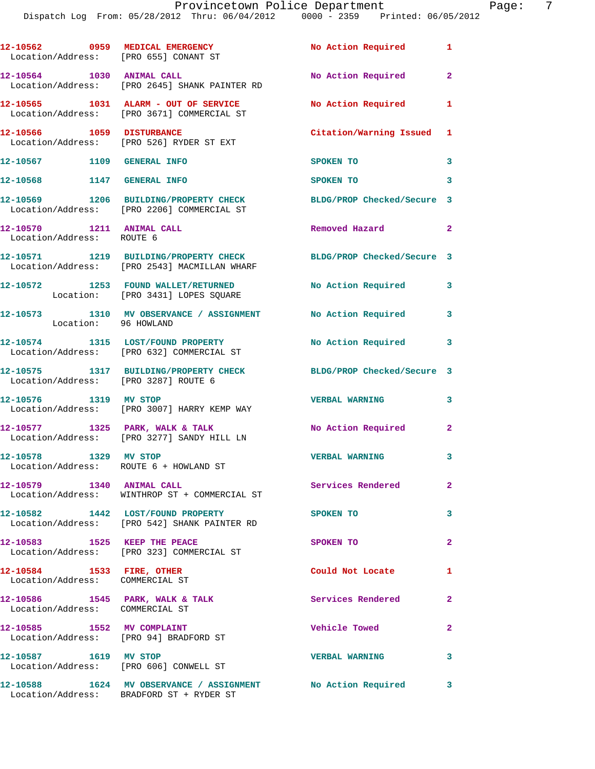|                                                                      | 12-10562 0959 MEDICAL EMERGENCY<br>Location/Address: [PRO 655] CONANT ST                                | No Action Required 1       |                |
|----------------------------------------------------------------------|---------------------------------------------------------------------------------------------------------|----------------------------|----------------|
|                                                                      | 12-10564 1030 ANIMAL CALL<br>Location/Address: [PRO 2645] SHANK PAINTER RD                              | No Action Required         | $\mathbf{2}$   |
|                                                                      | 12-10565 1031 ALARM - OUT OF SERVICE<br>Location/Address: [PRO 3671] COMMERCIAL ST                      | No Action Required         | $\mathbf{1}$   |
|                                                                      | 12-10566 1059 DISTURBANCE<br>Location/Address: [PRO 526] RYDER ST EXT                                   | Citation/Warning Issued 1  |                |
| 12-10567 1109 GENERAL INFO                                           |                                                                                                         | SPOKEN TO                  | $\mathbf{3}$   |
| 12-10568 1147 GENERAL INFO                                           |                                                                                                         | SPOKEN TO                  | 3              |
|                                                                      | 12-10569 1206 BUILDING/PROPERTY CHECK<br>Location/Address: [PRO 2206] COMMERCIAL ST                     | BLDG/PROP Checked/Secure 3 |                |
| 12-10570 1211 ANIMAL CALL<br>Location/Address: ROUTE 6               |                                                                                                         | Removed Hazard<br>$\sim$ 2 |                |
|                                                                      | 12-10571 1219 BUILDING/PROPERTY CHECK<br>Location/Address: [PRO 2543] MACMILLAN WHARF                   | BLDG/PROP Checked/Secure 3 |                |
|                                                                      | 12-10572 1253 FOUND WALLET/RETURNED<br>Location: [PRO 3431] LOPES SQUARE                                | No Action Required         | 3              |
| Location: 96 HOWLAND                                                 | 12-10573 1310 MV OBSERVANCE / ASSIGNMENT No Action Required                                             |                            | 3              |
|                                                                      | 12-10574 1315 LOST/FOUND PROPERTY<br>Location/Address: [PRO 632] COMMERCIAL ST                          | No Action Required         | 3              |
| Location/Address: [PRO 3287] ROUTE 6                                 | 12-10575 1317 BUILDING/PROPERTY CHECK                                                                   | BLDG/PROP Checked/Secure 3 |                |
| 12-10576 1319 MV STOP                                                | Location/Address: [PRO 3007] HARRY KEMP WAY                                                             | <b>VERBAL WARNING</b>      | 3              |
|                                                                      | 12-10577 1325 PARK, WALK & TALK<br>Location/Address: [PRO 3277] SANDY HILL LN                           | No Action Required         | $\mathbf{2}$   |
| 12-10578<br>1329 MV STOP<br>Location/Address: ROUTE 6 + HOWLAND ST   |                                                                                                         | <b>VERBAL WARNING</b>      | 3              |
| 12-10579 1340 ANIMAL CALL                                            | Location/Address: WINTHROP ST + COMMERCIAL ST                                                           | Services Rendered          | $\mathbf{2}$   |
|                                                                      | 12-10582 1442 LOST/FOUND PROPERTY<br>Location/Address: [PRO 542] SHANK PAINTER RD                       | SPOKEN TO                  | 3              |
| 12-10583 1525 KEEP THE PEACE                                         | Location/Address: [PRO 323] COMMERCIAL ST                                                               | SPOKEN TO                  | $\overline{a}$ |
| 12-10584 1533 FIRE, OTHER<br>Location/Address: COMMERCIAL ST         |                                                                                                         | Could Not Locate           | 1              |
| 12-10586 1545 PARK, WALK & TALK<br>Location/Address: COMMERCIAL ST   |                                                                                                         | Services Rendered          | $\mathbf{2}$   |
| 12-10585 1552 MV COMPLAINT<br>Location/Address: [PRO 94] BRADFORD ST |                                                                                                         | Vehicle Towed              | $\mathbf{2}$   |
| 12-10587 1619 MV STOP<br>Location/Address: [PRO 606] CONWELL ST      |                                                                                                         | <b>VERBAL WARNING</b>      | 3              |
|                                                                      | 12-10588 1624 MV OBSERVANCE / ASSIGNMENT No Action Required<br>Location/Address: BRADFORD ST + RYDER ST |                            | 3              |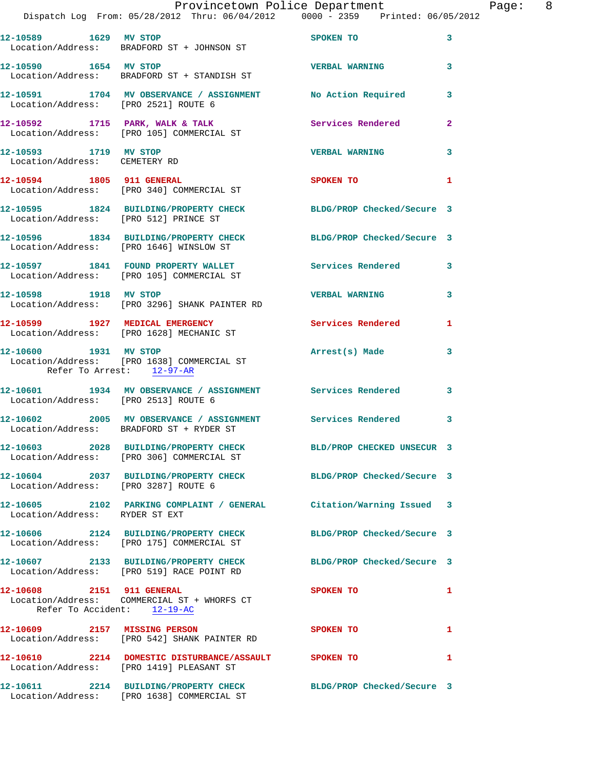|                                                          | Provincetown Police Department<br>Dispatch Log From: 05/28/2012 Thru: 06/04/2012 0000 - 2359 Printed: 06/05/2012 |                            |                |
|----------------------------------------------------------|------------------------------------------------------------------------------------------------------------------|----------------------------|----------------|
|                                                          | 12-10589 1629 MV STOP<br>Location/Address: BRADFORD ST + JOHNSON ST                                              | SPOKEN TO                  | 3              |
|                                                          | 12-10590            1654    MV STOP<br>Location/Address:     BRADFORD ST + STANDISH ST                           | <b>VERBAL WARNING</b>      | 3              |
|                                                          | 12-10591 1704 MV OBSERVANCE / ASSIGNMENT No Action Required<br>Location/Address: [PRO 2521] ROUTE 6              |                            | 3              |
|                                                          | 12-10592 1715 PARK, WALK & TALK<br>Location/Address: [PRO 105] COMMERCIAL ST                                     | <b>Services Rendered</b>   | $\overline{2}$ |
| 12-10593 1719 MV STOP<br>Location/Address: CEMETERY RD   |                                                                                                                  | <b>VERBAL WARNING</b>      | 3              |
|                                                          | 12-10594 1805 911 GENERAL<br>Location/Address: [PRO 340] COMMERCIAL ST                                           | SPOKEN TO                  | 1              |
| Location/Address: [PRO 512] PRINCE ST                    | 12-10595 1824 BUILDING/PROPERTY CHECK BLDG/PROP Checked/Secure 3                                                 |                            |                |
|                                                          | 12-10596 1834 BUILDING/PROPERTY CHECK BLDG/PROP Checked/Secure 3<br>Location/Address: [PRO 1646] WINSLOW ST      |                            |                |
|                                                          | 12-10597 1841 FOUND PROPERTY WALLET Services Rendered<br>Location/Address: [PRO 105] COMMERCIAL ST               |                            | 3              |
| 12-10598 1918 MV STOP                                    | Location/Address: [PRO 3296] SHANK PAINTER RD                                                                    | <b>VERBAL WARNING</b>      | 3              |
|                                                          | 12-10599 1927 MEDICAL EMERGENCY<br>Location/Address: [PRO 1628] MECHANIC ST                                      | Services Rendered          | 1              |
| 12-10600 1931 MV STOP<br>Refer To Arrest: 12-97-AR       | Location/Address: [PRO 1638] COMMERCIAL ST                                                                       | Arrest(s) Made             | 3              |
| Location/Address: [PRO 2513] ROUTE 6                     | 12-10601 1934 MV OBSERVANCE / ASSIGNMENT Services Rendered 3                                                     |                            |                |
|                                                          | 12-10602 2005 MV OBSERVANCE / ASSIGNMENT Services Rendered<br>Location/Address: BRADFORD ST + RYDER ST           |                            | 3              |
|                                                          | 12-10603 2028 BUILDING/PROPERTY CHECK<br>Location/Address: [PRO 306] COMMERCIAL ST                               | BLD/PROP CHECKED UNSECUR 3 |                |
| Location/Address: [PRO 3287] ROUTE 6                     | 12-10604 2037 BUILDING/PROPERTY CHECK BLDG/PROP Checked/Secure 3                                                 |                            |                |
| Location/Address: RYDER ST EXT                           | 12-10605 2102 PARKING COMPLAINT / GENERAL Citation/Warning Issued 3                                              |                            |                |
|                                                          | 12-10606 2124 BUILDING/PROPERTY CHECK<br>Location/Address: [PRO 175] COMMERCIAL ST                               | BLDG/PROP Checked/Secure 3 |                |
|                                                          | 12-10607 2133 BUILDING/PROPERTY CHECK<br>Location/Address: [PRO 519] RACE POINT RD                               | BLDG/PROP Checked/Secure 3 |                |
| 12-10608 2151 911 GENERAL<br>Refer To Accident: 12-19-AC | Location/Address: COMMERCIAL ST + WHORFS CT                                                                      | SPOKEN TO                  | 1              |
| 12-10609 2157 MISSING PERSON                             | Location/Address: [PRO 542] SHANK PAINTER RD                                                                     | SPOKEN TO                  | 1              |
|                                                          | 12-10610 2214 DOMESTIC DISTURBANCE/ASSAULT SPOKEN TO<br>Location/Address: [PRO 1419] PLEASANT ST                 |                            | 1              |
|                                                          | 12-10611 2214 BUILDING/PROPERTY CHECK BLDG/PROP Checked/Secure 3<br>Location/Address: [PRO 1638] COMMERCIAL ST   |                            |                |

Page: 8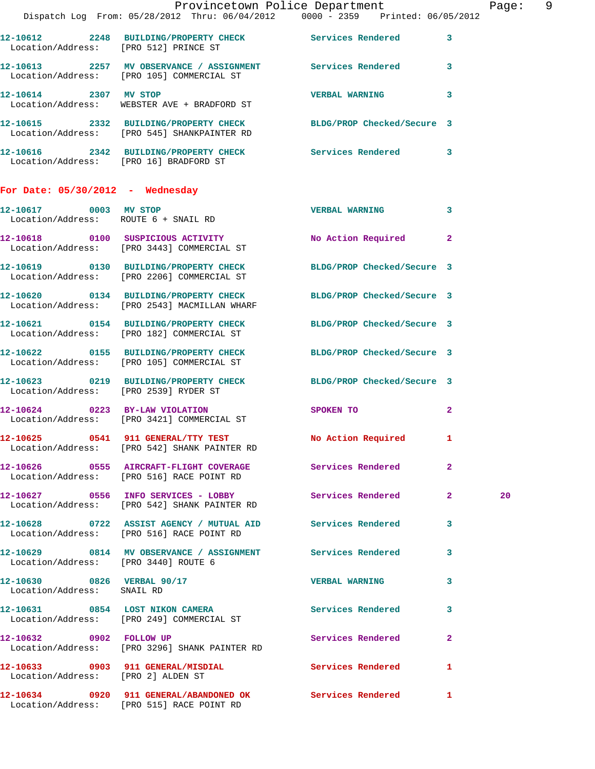|                                      |                                                                                 | Provincetown Police Department<br>Dispatch Log From: 05/28/2012 Thru: 06/04/2012 0000 - 2359 Printed: 06/05/2012               | Page: 9 |
|--------------------------------------|---------------------------------------------------------------------------------|--------------------------------------------------------------------------------------------------------------------------------|---------|
|                                      |                                                                                 | 12-10612 2248 BUILDING/PROPERTY CHECK Services Rendered 3                                                                      |         |
|                                      | Location/Address: [PRO 512] PRINCE ST                                           |                                                                                                                                |         |
|                                      | Location/Address: [PRO 105] COMMERCIAL ST                                       | 12-10613 2257 MV OBSERVANCE / ASSIGNMENT Services Rendered 3                                                                   |         |
| 12-10614 2307 MV STOP                | Location/Address: WEBSTER AVE + BRADFORD ST                                     | VERBAL WARNING 3                                                                                                               |         |
|                                      | Location/Address: [PRO 545] SHANKPAINTER RD                                     | 12-10615 2332 BUILDING/PROPERTY CHECK BLDG/PROP Checked/Secure 3                                                               |         |
|                                      | Location/Address: [PRO 16] BRADFORD ST                                          | 12-10616 2342 BUILDING/PROPERTY CHECK Services Rendered 3                                                                      |         |
| For Date: $05/30/2012$ - Wednesday   |                                                                                 |                                                                                                                                |         |
| 12-10617 0003 MV STOP                | Location/Address: ROUTE 6 + SNAIL RD                                            | VERBAL WARNING 3                                                                                                               |         |
|                                      | 12-10618 0100 SUSPICIOUS ACTIVITY<br>Location/Address: [PRO 3443] COMMERCIAL ST | No Action Required 2                                                                                                           |         |
|                                      | Location/Address: [PRO 2206] COMMERCIAL ST                                      | 12-10619 0130 BUILDING/PROPERTY CHECK BLDG/PROP Checked/Secure 3                                                               |         |
|                                      | Location/Address: [PRO 2543] MACMILLAN WHARF                                    | 12-10620 0134 BUILDING/PROPERTY CHECK BLDG/PROP Checked/Secure 3                                                               |         |
|                                      | Location/Address: [PRO 182] COMMERCIAL ST                                       | 12-10621 0154 BUILDING/PROPERTY CHECK BLDG/PROP Checked/Secure 3                                                               |         |
|                                      | Location/Address: [PRO 105] COMMERCIAL ST                                       | 12-10622 0155 BUILDING/PROPERTY CHECK BLDG/PROP Checked/Secure 3                                                               |         |
|                                      | Location/Address: [PRO 2539] RYDER ST                                           | 12-10623 0219 BUILDING/PROPERTY CHECK BLDG/PROP Checked/Secure 3                                                               |         |
|                                      | 12-10624 0223 BY-LAW VIOLATION<br>Location/Address: [PRO 3421] COMMERCIAL ST    | SPOKEN TO THE STREET OF THE STREET OF THE STREET OF THE STREET OF THE STREET OF THE STREET OF THE STREET OF TH<br>$\mathbf{2}$ |         |
|                                      | Location/Address: [PRO 542] SHANK PAINTER RD                                    | 12-10625 0541 911 GENERAL/TTY TEST No Action Required 1                                                                        |         |
|                                      | Location/Address: [PRO 516] RACE POINT RD                                       | 12-10626 0555 AIRCRAFT-FLIGHT COVERAGE Services Rendered 2                                                                     |         |
|                                      | Location/Address: [PRO 542] SHANK PAINTER RD                                    | 12-10627 0556 INFO SERVICES - LOBBY Services Rendered 2                                                                        | 20      |
|                                      | Location/Address: [PRO 516] RACE POINT RD                                       | 12-10628 0722 ASSIST AGENCY / MUTUAL AID Services Rendered 3                                                                   |         |
| Location/Address: [PRO 3440] ROUTE 6 |                                                                                 | 12-10629 0814 MV OBSERVANCE / ASSIGNMENT Services Rendered 3                                                                   |         |
| Location/Address: SNAIL RD           | 12-10630 0826 VERBAL 90/17                                                      | VERBAL WARNING 3                                                                                                               |         |
|                                      | Location/Address: [PRO 249] COMMERCIAL ST                                       | 12-10631 0854 LOST NIKON CAMERA Services Rendered 3                                                                            |         |
|                                      | 12-10632 0902 FOLLOW UP<br>Location/Address: [PRO 3296] SHANK PAINTER RD        | Services Rendered<br>$\mathbf{2}$                                                                                              |         |
| Location/Address: [PRO 2] ALDEN ST   |                                                                                 | 12-10633 0903 911 GENERAL/MISDIAL Services Rendered 1                                                                          |         |
|                                      | Location/Address: [PRO 515] RACE POINT RD                                       | 12-10634 0920 911 GENERAL/ABANDONED OK Services Rendered 1                                                                     |         |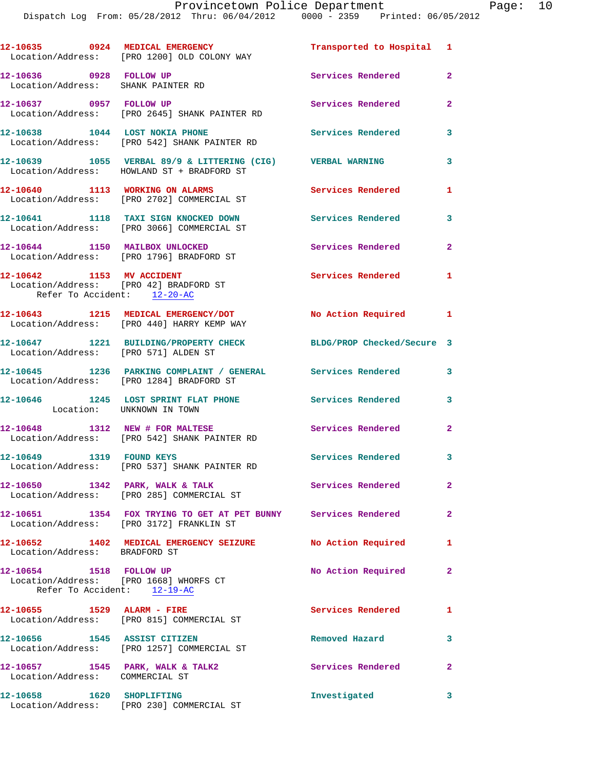|                                                                                                    | 12-10635 0924 MEDICAL EMERGENCY<br>Location/Address: [PRO 1200] OLD COLONY WAY                             | Transported to Hospital 1  |                |
|----------------------------------------------------------------------------------------------------|------------------------------------------------------------------------------------------------------------|----------------------------|----------------|
| 12-10636 0928 FOLLOW UP<br>Location/Address: SHANK PAINTER RD                                      |                                                                                                            | Services Rendered          | $\overline{a}$ |
| 12-10637 0957 FOLLOW UP                                                                            | Location/Address: [PRO 2645] SHANK PAINTER RD                                                              | Services Rendered          | $\overline{2}$ |
| 12-10638 1044 LOST NOKIA PHONE                                                                     | Location/Address: [PRO 542] SHANK PAINTER RD                                                               | Services Rendered          | 3              |
|                                                                                                    | 12-10639 1055 VERBAL 89/9 & LITTERING (CIG) VERBAL WARNING<br>Location/Address: HOWLAND ST + BRADFORD ST   |                            | 3              |
| 12-10640 1113 WORKING ON ALARMS                                                                    | Location/Address: [PRO 2702] COMMERCIAL ST                                                                 | Services Rendered          | 1              |
|                                                                                                    | 12-10641 1118 TAXI SIGN KNOCKED DOWN<br>Location/Address: [PRO 3066] COMMERCIAL ST                         | <b>Services Rendered</b>   | 3              |
| 12-10644 1150 MAILBOX UNLOCKED                                                                     | Location/Address: [PRO 1796] BRADFORD ST                                                                   | Services Rendered          | $\overline{2}$ |
| 12-10642 1153 MV ACCIDENT<br>Location/Address: [PRO 42] BRADFORD ST<br>Refer To Accident: 12-20-AC |                                                                                                            | Services Rendered 1        |                |
|                                                                                                    | 12-10643 1215 MEDICAL EMERGENCY/DOT<br>Location/Address: [PRO 440] HARRY KEMP WAY                          | No Action Required 1       |                |
| Location/Address: [PRO 571] ALDEN ST                                                               | 12-10647 1221 BUILDING/PROPERTY CHECK                                                                      | BLDG/PROP Checked/Secure 3 |                |
|                                                                                                    | 12-10645 1236 PARKING COMPLAINT / GENERAL Services Rendered<br>Location/Address: [PRO 1284] BRADFORD ST    |                            | 3              |
| Location: UNKNOWN IN TOWN                                                                          | 12-10646 1245 LOST SPRINT FLAT PHONE Services Rendered                                                     |                            | 3              |
|                                                                                                    | 12-10648 1312 NEW # FOR MALTESE<br>Location/Address: [PRO 542] SHANK PAINTER RD                            | Services Rendered          | $\mathbf{2}$   |
| 12-10649 1319 FOUND KEYS                                                                           | Location/Address: [PRO 537] SHANK PAINTER RD                                                               | Services Rendered 3        |                |
|                                                                                                    | 12-10650 1342 PARK, WALK & TALK Services Rendered<br>Location/Address: [PRO 285] COMMERCIAL ST             |                            | $\mathbf{2}$   |
|                                                                                                    | 12-10651 1354 FOX TRYING TO GET AT PET BUNNY Services Rendered<br>Location/Address: [PRO 3172] FRANKLIN ST |                            | $\mathbf{2}$   |
| Location/Address: BRADFORD ST                                                                      | 12-10652 1402 MEDICAL EMERGENCY SEIZURE No Action Required                                                 |                            | -1             |
| 12-10654 1518 FOLLOW UP<br>Location/Address: [PRO 1668] WHORFS CT<br>Refer To Accident: $12-19-AC$ |                                                                                                            | No Action Required         | $\mathbf{2}$   |
|                                                                                                    | 12-10655 1529 ALARM - FIRE<br>Location/Address: [PRO 815] COMMERCIAL ST                                    | Services Rendered          | $\mathbf{1}$   |
| 12-10656 1545 ASSIST CITIZEN                                                                       | Location/Address: [PRO 1257] COMMERCIAL ST                                                                 | Removed Hazard             | 3              |
| Location/Address: COMMERCIAL ST                                                                    | 12-10657 1545 PARK, WALK & TALK2                                                                           | Services Rendered          | $\mathbf{2}$   |
| 12-10658 1620 SHOPLIFTING                                                                          | Location/Address: [PRO 230] COMMERCIAL ST                                                                  | Investigated               | 3              |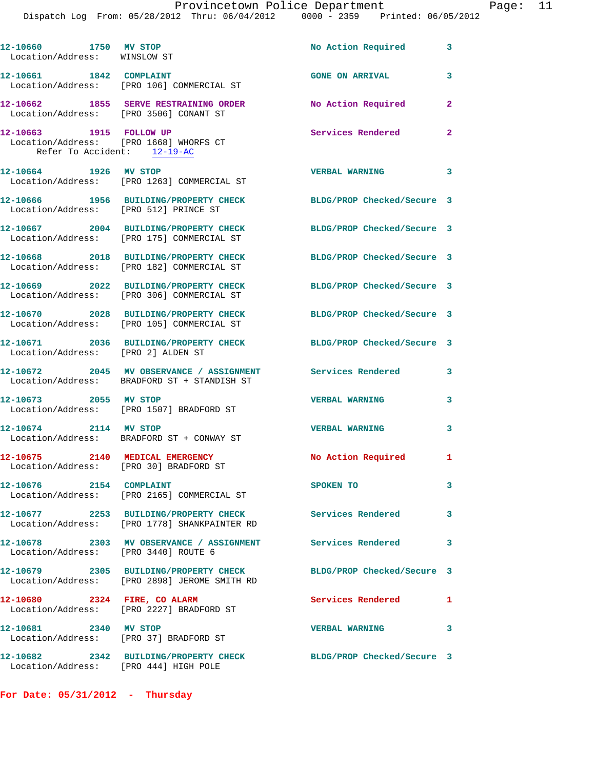| 12-10660 1750 MV STOP<br>Location/Address: WINSLOW ST                                            |                                                                                         | No Action Required         | 3                        |
|--------------------------------------------------------------------------------------------------|-----------------------------------------------------------------------------------------|----------------------------|--------------------------|
|                                                                                                  | 12-10661 1842 COMPLAINT<br>Location/Address: [PRO 106] COMMERCIAL ST                    | <b>GONE ON ARRIVAL</b>     | 3                        |
|                                                                                                  | 12-10662 1855 SERVE RESTRAINING ORDER<br>Location/Address: [PRO 3506] CONANT ST         | No Action Required         | $\overline{a}$           |
| 12-10663 1915 FOLLOW UP<br>Location/Address: [PRO 1668] WHORFS CT<br>Refer To Accident: 12-19-AC |                                                                                         | <b>Services Rendered</b>   | $\overline{2}$           |
|                                                                                                  | 12-10664 1926 MV STOP<br>Location/Address: [PRO 1263] COMMERCIAL ST                     | <b>VERBAL WARNING</b>      | $\overline{\phantom{a}}$ |
| Location/Address: [PRO 512] PRINCE ST                                                            | 12-10666 1956 BUILDING/PROPERTY CHECK                                                   | BLDG/PROP Checked/Secure 3 |                          |
|                                                                                                  | 12-10667 2004 BUILDING/PROPERTY CHECK<br>Location/Address: [PRO 175] COMMERCIAL ST      | BLDG/PROP Checked/Secure 3 |                          |
|                                                                                                  | 12-10668 2018 BUILDING/PROPERTY CHECK<br>Location/Address: [PRO 182] COMMERCIAL ST      | BLDG/PROP Checked/Secure 3 |                          |
|                                                                                                  | 12-10669 2022 BUILDING/PROPERTY CHECK<br>Location/Address: [PRO 306] COMMERCIAL ST      | BLDG/PROP Checked/Secure 3 |                          |
|                                                                                                  | 12-10670 2028 BUILDING/PROPERTY CHECK<br>Location/Address: [PRO 105] COMMERCIAL ST      | BLDG/PROP Checked/Secure 3 |                          |
| Location/Address: [PRO 2] ALDEN ST                                                               | 12-10671 2036 BUILDING/PROPERTY CHECK                                                   | BLDG/PROP Checked/Secure 3 |                          |
|                                                                                                  | 12-10672 2045 MV OBSERVANCE / ASSIGNMENT<br>Location/Address: BRADFORD ST + STANDISH ST | Services Rendered          | 3                        |
| 12-10673 2055 MV STOP                                                                            | Location/Address: [PRO 1507] BRADFORD ST                                                | <b>VERBAL WARNING</b>      | 3                        |
| 12-10674 2114 MV STOP                                                                            | Location/Address: BRADFORD ST + CONWAY ST                                               | <b>VERBAL WARNING</b>      | 3                        |
| 12-10675 2140 MEDICAL EMERGENCY                                                                  | Location/Address: [PRO 30] BRADFORD ST                                                  | No Action Required 1       |                          |
| 12-10676 2154 COMPLAINT                                                                          | Location/Address: [PRO 2165] COMMERCIAL ST                                              | SPOKEN TO                  | 3                        |
|                                                                                                  | 12-10677 2253 BUILDING/PROPERTY CHECK<br>Location/Address: [PRO 1778] SHANKPAINTER RD   | <b>Services Rendered</b>   | 3                        |
| Location/Address: [PRO 3440] ROUTE 6                                                             | 12-10678 2303 MV OBSERVANCE / ASSIGNMENT                                                | <b>Services Rendered</b>   | 3                        |
|                                                                                                  | 12-10679 2305 BUILDING/PROPERTY CHECK<br>Location/Address: [PRO 2898] JEROME SMITH RD   | BLDG/PROP Checked/Secure 3 |                          |
| 12-10680 2324 FIRE, CO ALARM                                                                     | Location/Address: [PRO 2227] BRADFORD ST                                                | Services Rendered          | 1                        |
| 12-10681 2340 MV STOP<br>Location/Address: [PRO 37] BRADFORD ST                                  |                                                                                         | <b>VERBAL WARNING</b>      | 3                        |
| Location/Address: [PRO 444] HIGH POLE                                                            | 12-10682 2342 BUILDING/PROPERTY CHECK                                                   | BLDG/PROP Checked/Secure 3 |                          |

**For Date: 05/31/2012 - Thursday**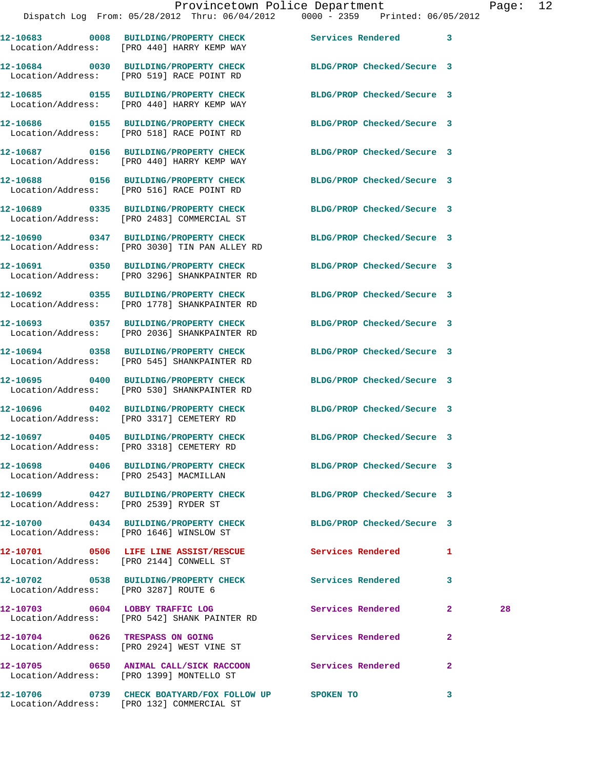|                                        | Dispatch Log From: 05/28/2012 Thru: 06/04/2012 0000 - 2359 Printed: 06/05/2012                              |                            |                |    |
|----------------------------------------|-------------------------------------------------------------------------------------------------------------|----------------------------|----------------|----|
|                                        | 12-10683 0008 BUILDING/PROPERTY CHECK<br>Location/Address: [PRO 440] HARRY KEMP WAY                         | Services Rendered 3        |                |    |
|                                        | 12-10684 0030 BUILDING/PROPERTY CHECK<br>Location/Address: [PRO 519] RACE POINT RD                          | BLDG/PROP Checked/Secure 3 |                |    |
|                                        | 12-10685 0155 BUILDING/PROPERTY CHECK<br>Location/Address: [PRO 440] HARRY KEMP WAY                         | BLDG/PROP Checked/Secure 3 |                |    |
|                                        | 12-10686 0155 BUILDING/PROPERTY CHECK<br>Location/Address: [PRO 518] RACE POINT RD                          | BLDG/PROP Checked/Secure 3 |                |    |
|                                        | 12-10687 0156 BUILDING/PROPERTY CHECK<br>Location/Address: [PRO 440] HARRY KEMP WAY                         | BLDG/PROP Checked/Secure 3 |                |    |
|                                        | 12-10688 0156 BUILDING/PROPERTY CHECK<br>Location/Address: [PRO 516] RACE POINT RD                          | BLDG/PROP Checked/Secure 3 |                |    |
|                                        | 12-10689 0335 BUILDING/PROPERTY CHECK<br>Location/Address: [PRO 2483] COMMERCIAL ST                         | BLDG/PROP Checked/Secure 3 |                |    |
|                                        | 12-10690 0347 BUILDING/PROPERTY CHECK<br>Location/Address: [PRO 3030] TIN PAN ALLEY RD                      | BLDG/PROP Checked/Secure 3 |                |    |
|                                        | 12-10691 0350 BUILDING/PROPERTY CHECK<br>Location/Address: [PRO 3296] SHANKPAINTER RD                       | BLDG/PROP Checked/Secure 3 |                |    |
|                                        | 12-10692 0355 BUILDING/PROPERTY CHECK<br>Location/Address: [PRO 1778] SHANKPAINTER RD                       | BLDG/PROP Checked/Secure 3 |                |    |
|                                        | 12-10693 0357 BUILDING/PROPERTY CHECK<br>Location/Address: [PRO 2036] SHANKPAINTER RD                       | BLDG/PROP Checked/Secure 3 |                |    |
|                                        | 12-10694 0358 BUILDING/PROPERTY CHECK<br>Location/Address: [PRO 545] SHANKPAINTER RD                        | BLDG/PROP Checked/Secure 3 |                |    |
|                                        | 12-10695 0400 BUILDING/PROPERTY CHECK<br>Location/Address: [PRO 530] SHANKPAINTER RD                        | BLDG/PROP Checked/Secure 3 |                |    |
|                                        | 12-10696 0402 BUILDING/PROPERTY CHECK<br>Location/Address: [PRO 3317] CEMETERY RD                           | BLDG/PROP Checked/Secure 3 |                |    |
|                                        | 12-10697 0405 BUILDING/PROPERTY CHECK<br>Location/Address: [PRO 3318] CEMETERY RD                           | BLDG/PROP Checked/Secure 3 |                |    |
| Location/Address: [PRO 2543] MACMILLAN | 12-10698 0406 BUILDING/PROPERTY CHECK BLDG/PROP Checked/Secure 3                                            |                            |                |    |
| Location/Address: [PRO 2539] RYDER ST  | 12-10699 0427 BUILDING/PROPERTY CHECK BLDG/PROP Checked/Secure 3                                            |                            |                |    |
|                                        | 12-10700 0434 BUILDING/PROPERTY CHECK BLDG/PROP Checked/Secure 3<br>Location/Address: [PRO 1646] WINSLOW ST |                            |                |    |
|                                        | 12-10701 0506 LIFE LINE ASSIST/RESCUE Services Rendered<br>Location/Address: [PRO 2144] CONWELL ST          |                            | 1              |    |
| Location/Address: [PRO 3287] ROUTE 6   | 12-10702 0538 BUILDING/PROPERTY CHECK Services Rendered                                                     |                            | 3              |    |
|                                        | 12-10703 0604 LOBBY TRAFFIC LOG<br>Location/Address: [PRO 542] SHANK PAINTER RD                             | Services Rendered          | $\mathbf{2}$   | 28 |
|                                        | 12-10704 0626 TRESPASS ON GOING<br>Location/Address: [PRO 2924] WEST VINE ST                                | Services Rendered          | $\overline{2}$ |    |
|                                        | 12-10705 0650 ANIMAL CALL/SICK RACCOON Services Rendered<br>Location/Address: [PRO 1399] MONTELLO ST        |                            | $\mathbf{2}$   |    |
|                                        |                                                                                                             |                            | $\mathbf{3}$   |    |

Location/Address: [PRO 132] COMMERCIAL ST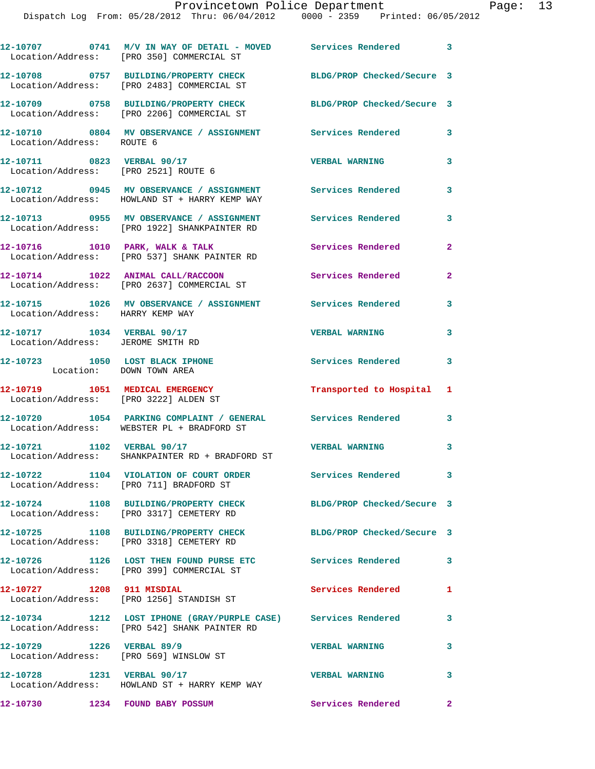**12-10707 0741 M/V IN WAY OF DETAIL - MOVED Services Rendered 3**  Location/Address: [PRO 350] COMMERCIAL ST **12-10708 0757 BUILDING/PROPERTY CHECK BLDG/PROP Checked/Secure 3**  Location/Address: [PRO 2483] COMMERCIAL ST **12-10709 0758 BUILDING/PROPERTY CHECK BLDG/PROP Checked/Secure 3**  Location/Address: [PRO 2206] COMMERCIAL ST **12-10710 0804 MV OBSERVANCE / ASSIGNMENT Services Rendered 3**  Location/Address: ROUTE 6 **12-10711 0823 VERBAL 90/17 VERBAL WARNING 3**  Location/Address: [PRO 2521] ROUTE 6 **12-10712 0945 MV OBSERVANCE / ASSIGNMENT Services Rendered 3**  Location/Address: HOWLAND ST + HARRY KEMP WAY **12-10713 0955 MV OBSERVANCE / ASSIGNMENT Services Rendered 3**  Location/Address: [PRO 1922] SHANKPAINTER RD 12-10716 1010 PARK, WALK & TALK **Services Rendered** 2 Location/Address: [PRO 537] SHANK PAINTER RD **12-10714 1022 ANIMAL CALL/RACCOON Services Rendered 2**  Location/Address: [PRO 2637] COMMERCIAL ST **12-10715 1026 MV OBSERVANCE / ASSIGNMENT Services Rendered 3**  Location/Address: HARRY KEMP WAY **12-10717 1034 VERBAL 90/17 VERBAL WARNING 3**  Location/Address: JEROME SMITH RD **12-10723 1050 LOST BLACK IPHONE Services Rendered 3**  Location: DOWN TOWN AREA **12-10719 1051 MEDICAL EMERGENCY Transported to Hospital 1**  Location/Address: [PRO 3222] ALDEN ST **12-10720 1054 PARKING COMPLAINT / GENERAL Services Rendered 3**  Location/Address: WEBSTER PL + BRADFORD ST **12-10721 1102 VERBAL 90/17 VERBAL WARNING 3**  Location/Address: SHANKPAINTER RD + BRADFORD ST **12-10722 1104 VIOLATION OF COURT ORDER Services Rendered 3**  Location/Address: [PRO 711] BRADFORD ST **12-10724 1108 BUILDING/PROPERTY CHECK BLDG/PROP Checked/Secure 3**  Location/Address: [PRO 3317] CEMETERY RD **12-10725 1108 BUILDING/PROPERTY CHECK BLDG/PROP Checked/Secure 3**  Location/Address: [PRO 3318] CEMETERY RD **12-10726 1126 LOST THEN FOUND PURSE ETC Services Rendered 3**  Location/Address: [PRO 399] COMMERCIAL ST **12-10727 1208 911 MISDIAL Services Rendered 1**  Location/Address: [PRO 1256] STANDISH ST **12-10734 1212 LOST IPHONE (GRAY/PURPLE CASE) Services Rendered 3**  Location/Address: [PRO 542] SHANK PAINTER RD **12-10729 1226 VERBAL 89/9 VERBAL WARNING 3**  Location/Address: [PRO 569] WINSLOW ST **12-10728 1231 VERBAL 90/17 VERBAL WARNING 3**  Location/Address: HOWLAND ST + HARRY KEMP WAY **12-10730 1234 FOUND BABY POSSUM Services Rendered 2**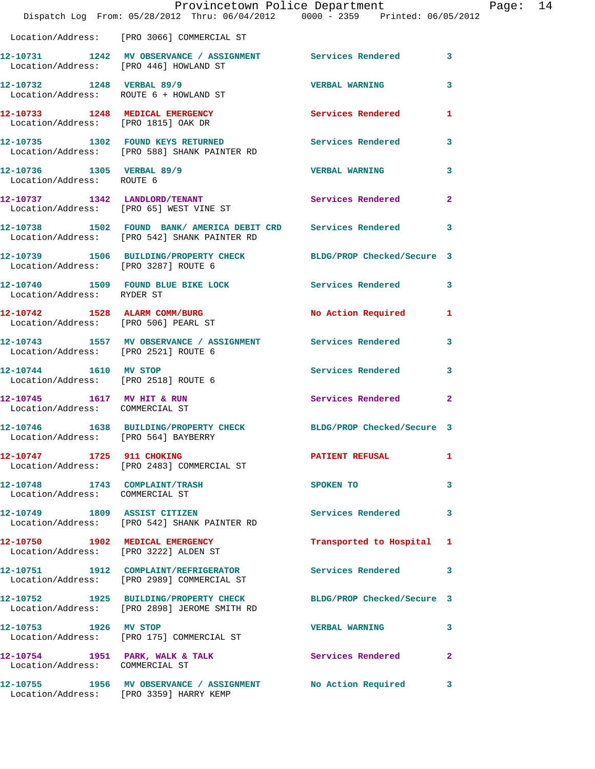|                                                                        | Provincetown Police Department<br>Dispatch Log From: 05/28/2012 Thru: 06/04/2012 0000 - 2359 Printed: 06/05/2012 |                           | F            |  |
|------------------------------------------------------------------------|------------------------------------------------------------------------------------------------------------------|---------------------------|--------------|--|
|                                                                        | Location/Address: [PRO 3066] COMMERCIAL ST                                                                       |                           |              |  |
|                                                                        | 12-10731 1242 MV OBSERVANCE / ASSIGNMENT Services Rendered<br>Location/Address: [PRO 446] HOWLAND ST             |                           | 3            |  |
| 12-10732 1248 VERBAL 89/9<br>Location/Address: ROUTE 6 + HOWLAND ST    |                                                                                                                  | <b>VERBAL WARNING</b>     | 3            |  |
| 12-10733 1248 MEDICAL EMERGENCY<br>Location/Address: [PRO 1815] OAK DR |                                                                                                                  | <b>Services Rendered</b>  | 1            |  |
|                                                                        | 12-10735 1302 FOUND KEYS RETURNED<br>Location/Address: [PRO 588] SHANK PAINTER RD                                | Services Rendered         | 3            |  |
| 12-10736 1305 VERBAL 89/9<br>Location/Address: ROUTE 6                 |                                                                                                                  | <b>VERBAL WARNING</b>     | 3            |  |
|                                                                        | 12-10737 1342 LANDLORD/TENANT<br>Location/Address: [PRO 65] WEST VINE ST                                         | <b>Services Rendered</b>  | 2            |  |
|                                                                        | 12-10738 1502 FOUND BANK/ AMERICA DEBIT CRD Services Rendered<br>Location/Address: [PRO 542] SHANK PAINTER RD    |                           | 3            |  |
| Location/Address: [PRO 3287] ROUTE 6                                   | 12-10739 1506 BUILDING/PROPERTY CHECK BLDG/PROP Checked/Secure 3                                                 |                           |              |  |
| Location/Address: RYDER ST                                             | 12-10740 1509 FOUND BLUE BIKE LOCK Services Rendered                                                             |                           | 3            |  |
| Location/Address: [PRO 506] PEARL ST                                   | 12-10742 1528 ALARM COMM/BURG                                                                                    | <b>No Action Required</b> | 1            |  |
|                                                                        | 12-10743 1557 MV OBSERVANCE / ASSIGNMENT Services Rendered<br>Location/Address: [PRO 2521] ROUTE 6               |                           | 3            |  |
| 12-10744 1610 MV STOP<br>Location/Address: [PRO 2518] ROUTE 6          |                                                                                                                  | <b>Services Rendered</b>  | 3            |  |
| 12-10745   1617   MV   HIT & RUN<br>Location/Address: COMMERCIAL ST    |                                                                                                                  | <b>Services Rendered</b>  | $\mathbf{2}$ |  |
| Location/Address: [PRO 564] BAYBERRY                                   | 12-10746 1638 BUILDING/PROPERTY CHECK BLDG/PROP Checked/Secure 3                                                 |                           |              |  |
| 12-10747 1725 911 CHOKING                                              | Location/Address: [PRO 2483] COMMERCIAL ST                                                                       | <b>PATIENT REFUSAL</b>    | 1            |  |
| 12-10748 1743 COMPLAINT/TRASH<br>Location/Address: COMMERCIAL ST       |                                                                                                                  | SPOKEN TO                 | 3            |  |
|                                                                        | 12-10749 1809 ASSIST CITIZEN<br>Location/Address: [PRO 542] SHANK PAINTER RD                                     | <b>Services Rendered</b>  | 3            |  |
| Location/Address: [PRO 3222] ALDEN ST                                  | 12-10750 1902 MEDICAL EMERGENCY                                                                                  | Transported to Hospital   | 1            |  |
|                                                                        | 12-10751 1912 COMPLAINT/REFRIGERATOR<br>Location/Address: [PRO 2989] COMMERCIAL ST                               | Services Rendered         | 3            |  |
|                                                                        | 12-10752 1925 BUILDING/PROPERTY CHECK BLDG/PROP Checked/Secure 3<br>Location/Address: [PRO 2898] JEROME SMITH RD |                           |              |  |
| 12-10753 1926 MV STOP                                                  | Location/Address: [PRO 175] COMMERCIAL ST                                                                        | <b>VERBAL WARNING</b>     | 3            |  |
| Location/Address: COMMERCIAL ST                                        | 12-10754 1951 PARK, WALK & TALK                                                                                  | Services Rendered         | 2            |  |
|                                                                        | 12-10755 1956 MV OBSERVANCE / ASSIGNMENT No Action Required<br>Location/Address: [PRO 3359] HARRY KEMP           |                           | 3            |  |

Page: 14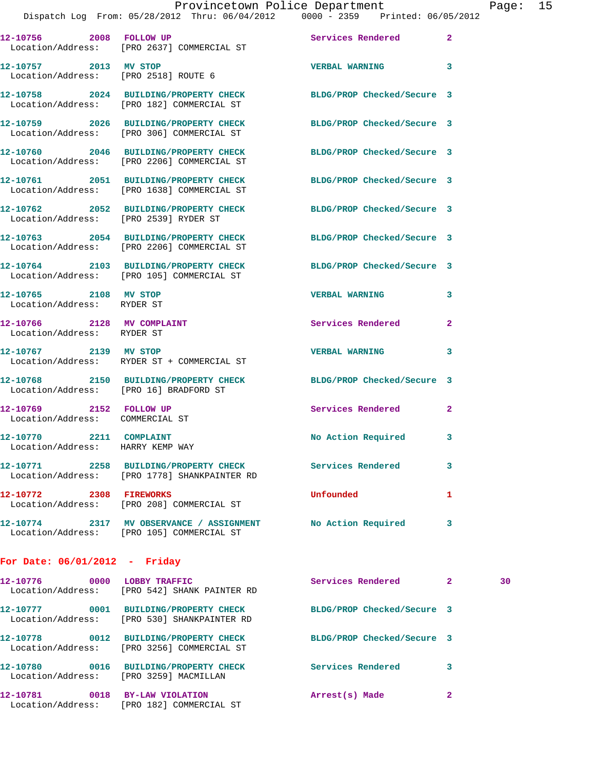|                                                               | Provincetown Police Department                                                                                 |                                                  | Page: | 15 |
|---------------------------------------------------------------|----------------------------------------------------------------------------------------------------------------|--------------------------------------------------|-------|----|
|                                                               | Dispatch Log From: 05/28/2012 Thru: 06/04/2012 0000 - 2359 Printed: 06/05/2012                                 |                                                  |       |    |
|                                                               | Location/Address: [PRO 2637] COMMERCIAL ST                                                                     |                                                  |       |    |
| 12-10757 2013 MV STOP<br>Location/Address: [PRO 2518] ROUTE 6 |                                                                                                                | $\overline{\mathbf{3}}$<br><b>VERBAL WARNING</b> |       |    |
|                                                               | 12-10758 2024 BUILDING/PROPERTY CHECK BLDG/PROP Checked/Secure 3<br>Location/Address: [PRO 182] COMMERCIAL ST  |                                                  |       |    |
|                                                               | 12-10759 2026 BUILDING/PROPERTY CHECK BLDG/PROP Checked/Secure 3<br>Location/Address: [PRO 306] COMMERCIAL ST  |                                                  |       |    |
|                                                               | 12-10760 2046 BUILDING/PROPERTY CHECK BLDG/PROP Checked/Secure 3<br>Location/Address: [PRO 2206] COMMERCIAL ST |                                                  |       |    |
|                                                               | 12-10761 2051 BUILDING/PROPERTY CHECK BLDG/PROP Checked/Secure 3<br>Location/Address: [PRO 1638] COMMERCIAL ST |                                                  |       |    |
| Location/Address: [PRO 2539] RYDER ST                         | 12-10762 2052 BUILDING/PROPERTY CHECK BLDG/PROP Checked/Secure 3                                               |                                                  |       |    |
|                                                               |                                                                                                                |                                                  |       |    |

**12-10763 2054 BUILDING/PROPERTY CHECK BLDG/PROP Checked/Secure 3**  Location/Address: [PRO 2206] COMMERCIAL ST

**12-10764 2103 BUILDING/PROPERTY CHECK BLDG/PROP Checked/Secure 3**  Location/Address: [PRO 105] COMMERCIAL ST

**12-10765 2108 MV STOP VERBAL WARNING 3**  Location/Address: RYDER ST

12-10766 2128 MV COMPLAINT **Services Rendered** 2 Location/Address: RYDER ST

**12-10767 2139 MV STOP VERBAL WARNING 3**  Location/Address: RYDER ST + COMMERCIAL ST

**12-10768 2150 BUILDING/PROPERTY CHECK BLDG/PROP Checked/Secure 3**  Location/Address: [PRO 16] BRADFORD ST

**12-10769 2152 FOLLOW UP Services Rendered 2**  Location/Address: COMMERCIAL ST

12-10770 2211 COMPLAINT **No Action Required** 3

Location/Address: HARRY KEMP WAY

**12-10771 2258 BUILDING/PROPERTY CHECK Services Rendered 3**  Location/Address: [PRO 1778] SHANKPAINTER RD

**12-10772 2308 FIREWORKS Unfounded 1**  Location/Address: [PRO 208] COMMERCIAL ST

**12-10774 2317 MV OBSERVANCE / ASSIGNMENT No Action Required 3** 

Location/Address: [PRO 105] COMMERCIAL ST

## **For Date: 06/01/2012 - Friday**

| 12-10776<br>0000                      | LOBBY TRAFFIC<br>Location/Address: [PRO 542] SHANK PAINTER RD                 | Services Rendered          |   | 30 |
|---------------------------------------|-------------------------------------------------------------------------------|----------------------------|---|----|
| 0001<br>12-10777                      | <b>BUILDING/PROPERTY CHECK</b><br>Location/Address: [PRO 530] SHANKPAINTER RD | BLDG/PROP Checked/Secure 3 |   |    |
| 0012<br>12-10778<br>Location/Address: | <b>BUILDING/PROPERTY CHECK</b><br>[PRO 3256] COMMERCIAL ST                    | BLDG/PROP Checked/Secure 3 |   |    |
| 0016<br>12-10780                      | <b>BUILDING/PROPERTY CHECK</b><br>Location/Address: [PRO 3259] MACMILLAN      | Services Rendered          | 3 |    |
| 12-10781<br>0018<br>Location/Address: | BY-LAW VIOLATION<br>[PRO 182] COMMERCIAL ST                                   | Arrest(s) Made             | 2 |    |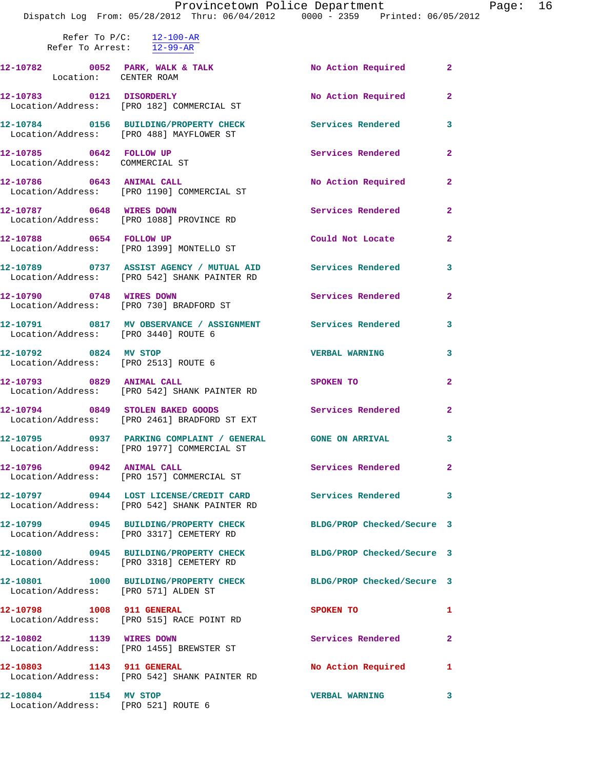|                                        | Provincetown Police Department The Rage: 16<br>Dispatch Log From: 05/28/2012 Thru: 06/04/2012 0000 - 2359 Printed: 06/05/2012 |                          |                         |  |
|----------------------------------------|-------------------------------------------------------------------------------------------------------------------------------|--------------------------|-------------------------|--|
| Refer To Arrest: $\overline{12-99-AR}$ | Refer To $P/C$ : 12-100-AR                                                                                                    |                          |                         |  |
|                                        | 12-10782 0052 PARK, WALK & TALK No Action Required 2<br>Location: CENTER ROAM                                                 |                          |                         |  |
|                                        | 12-10783 0121 DISORDERLY<br>Location/Address: [PRO 182] COMMERCIAL ST                                                         | No Action Required 2     |                         |  |
|                                        | 12-10784 0156 BUILDING/PROPERTY CHECK Services Rendered 3<br>Location/Address: [PRO 488] MAYFLOWER ST                         |                          |                         |  |
|                                        | 12-10785 0642 FOLLOW UP<br>Location/Address: COMMERCIAL ST                                                                    | Services Rendered 2      |                         |  |
|                                        | 12-10786 0643 ANIMAL CALL No Action Required 2<br>Location/Address: [PRO 1190] COMMERCIAL ST                                  |                          |                         |  |
|                                        | 12-10787 0648 WIRES DOWN<br>Location/Address: [PRO 1088] PROVINCE RD                                                          | Services Rendered 2      |                         |  |
|                                        | 12-10788 0654 FOLLOW UP<br>Location/Address: [PRO 1399] MONTELLO ST                                                           | Could Not Locate 2       |                         |  |
|                                        | 12-10789 0737 ASSIST AGENCY / MUTUAL AID Services Rendered 3<br>Location/Address: [PRO 542] SHANK PAINTER RD                  |                          |                         |  |
|                                        | 12-10790 0748 WIRES DOWN<br>Location/Address: [PRO 730] BRADFORD ST                                                           | Services Rendered 2      |                         |  |
| Location/Address: [PRO 3440] ROUTE 6   | 12-10791 0817 MV OBSERVANCE / ASSIGNMENT Services Rendered 3                                                                  |                          |                         |  |
|                                        | 12-10792 0824 MV STOP<br>Location/Address: [PRO 2513] ROUTE 6                                                                 | <b>VERBAL WARNING</b>    | $\overline{\mathbf{3}}$ |  |
|                                        | 12-10793 0829 ANIMAL CALL<br>Location/Address: [PRO 542] SHANK PAINTER RD                                                     | SPOKEN TO                | $\mathbf{2}$            |  |
|                                        | 12-10794 0849 STOLEN BAKED GOODS<br>Location/Address: [PRO 2461] BRADFORD ST EXT                                              | Services Rendered 2      |                         |  |
|                                        | 12-10795 0937 PARKING COMPLAINT / GENERAL GONE ON ARRIVAL 3<br>Location/Address: [PRO 1977] COMMERCIAL ST                     |                          |                         |  |
|                                        | 12-10796 0942 ANIMAL CALL<br>Location/Address: [PRO 157] COMMERCIAL ST                                                        | Services Rendered 2      |                         |  |
|                                        | 12-10797 0944 LOST LICENSE/CREDIT CARD Services Rendered 3<br>Location/Address: [PRO 542] SHANK PAINTER RD                    |                          |                         |  |
|                                        | 12-10799 0945 BUILDING/PROPERTY CHECK BLDG/PROP Checked/Secure 3<br>Location/Address: [PRO 3317] CEMETERY RD                  |                          |                         |  |
|                                        | 12-10800 0945 BUILDING/PROPERTY CHECK BLDG/PROP Checked/Secure 3<br>Location/Address: [PRO 3318] CEMETERY RD                  |                          |                         |  |
|                                        | 12-10801 1000 BUILDING/PROPERTY CHECK BLDG/PROP Checked/Secure 3<br>Location/Address: [PRO 571] ALDEN ST                      |                          |                         |  |
|                                        | 12-10798 1008 911 GENERAL<br>Location/Address: [PRO 515] RACE POINT RD                                                        | SPOKEN TO                | $\mathbf{1}$            |  |
|                                        | 12-10802 1139 WIRES DOWN<br>Location/Address: [PRO 1455] BREWSTER ST                                                          | <b>Services Rendered</b> | $\mathbf{2}$            |  |
|                                        | 12-10803 1143 911 GENERAL<br>Location/Address: [PRO 542] SHANK PAINTER RD                                                     | No Action Required 1     |                         |  |
| 12-10804 1154 MV STOP                  | Location/Address: [PRO 521] ROUTE 6                                                                                           | <b>VERBAL WARNING</b>    | 3                       |  |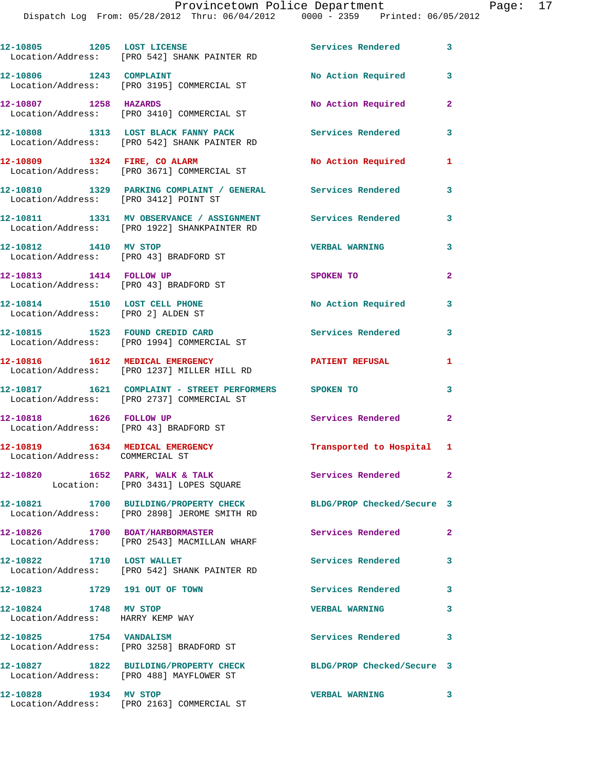|                                                                     | Dispatch Log From: 05/28/2012 Thru: 06/04/2012     0000 - 2359   Printed: 06/05/2                          |                            |                |
|---------------------------------------------------------------------|------------------------------------------------------------------------------------------------------------|----------------------------|----------------|
| 12-10805 1205 LOST LICENSE                                          | Location/Address: [PRO 542] SHANK PAINTER RD                                                               | Services Rendered          | $\mathbf{3}$   |
| 12-10806 1243 COMPLAINT                                             | Location/Address: [PRO 3195] COMMERCIAL ST                                                                 | No Action Required         | 3              |
| 12-10807 1258 HAZARDS                                               | Location/Address: [PRO 3410] COMMERCIAL ST                                                                 | No Action Required         | $\mathbf{2}$   |
|                                                                     | 12-10808 1313 LOST BLACK FANNY PACK<br>Location/Address: [PRO 542] SHANK PAINTER RD                        | <b>Services Rendered</b>   | 3              |
|                                                                     | 12-10809 1324 FIRE, CO ALARM<br>Location/Address: [PRO 3671] COMMERCIAL ST                                 | No Action Required         | 1              |
| Location/Address: [PRO 3412] POINT ST                               | 12-10810 1329 PARKING COMPLAINT / GENERAL Services Rendered                                                |                            | 3              |
|                                                                     | 12-10811 1331 MV OBSERVANCE / ASSIGNMENT Services Rendered<br>Location/Address: [PRO 1922] SHANKPAINTER RD |                            | 3              |
| 12-10812 1410 MV STOP<br>Location/Address: [PRO 43] BRADFORD ST     |                                                                                                            | <b>VERBAL WARNING</b>      | 3              |
| 12-10813 1414 FOLLOW UP<br>Location/Address: [PRO 43] BRADFORD ST   |                                                                                                            | SPOKEN TO                  | $\mathbf{2}$   |
| 12-10814 1510 LOST CELL PHONE<br>Location/Address: [PRO 2] ALDEN ST |                                                                                                            | No Action Required 3       |                |
|                                                                     | 12-10815 1523 FOUND CREDID CARD<br>Location/Address: [PRO 1994] COMMERCIAL ST                              | <b>Services Rendered</b>   | 3              |
|                                                                     | 12-10816 1612 MEDICAL EMERGENCY<br>Location/Address: [PRO 1237] MILLER HILL RD                             | <b>PATIENT REFUSAL</b>     | 1              |
|                                                                     | 12-10817 1621 COMPLAINT - STREET PERFORMERS SPOKEN TO<br>Location/Address: [PRO 2737] COMMERCIAL ST        |                            | 3              |
| 12-10818   1626   FOLLOW UP                                         | Location/Address: [PRO 43] BRADFORD ST                                                                     | <b>Services Rendered</b>   | $\overline{2}$ |
| Location/Address: COMMERCIAL ST                                     | 12-10819 1634 MEDICAL EMERGENCY                                                                            | Transported to Hospital 1  |                |
| 12-10820                                                            | 1652 PARK, WALK & TALK<br>Location: [PRO 3431] LOPES SQUARE                                                | <b>Services Rendered</b>   | $\mathbf{2}$   |
|                                                                     | 12-10821 1700 BUILDING/PROPERTY CHECK<br>Location/Address: [PRO 2898] JEROME SMITH RD                      | BLDG/PROP Checked/Secure 3 |                |
| 12-10826 1700 BOAT/HARBORMASTER                                     | Location/Address: [PRO 2543] MACMILLAN WHARF                                                               | Services Rendered          | $\mathbf{2}$   |
| 12-10822 1710 LOST WALLET                                           | Location/Address: [PRO 542] SHANK PAINTER RD                                                               | Services Rendered          | 3              |
| 12-10823 1729 191 OUT OF TOWN                                       |                                                                                                            | Services Rendered          | 3              |
| 12-10824 1748 MV STOP<br>Location/Address: HARRY KEMP WAY           |                                                                                                            | <b>VERBAL WARNING</b>      | 3              |
| 12-10825 1754 VANDALISM                                             | Location/Address: [PRO 3258] BRADFORD ST                                                                   | Services Rendered          | 3              |
|                                                                     | 12-10827 1822 BUILDING/PROPERTY CHECK<br>Location/Address: [PRO 488] MAYFLOWER ST                          | BLDG/PROP Checked/Secure 3 |                |
| 12-10828 1934 MV STOP                                               | Location/Address: [PRO 2163] COMMERCIAL ST                                                                 | <b>VERBAL WARNING</b>      | 3              |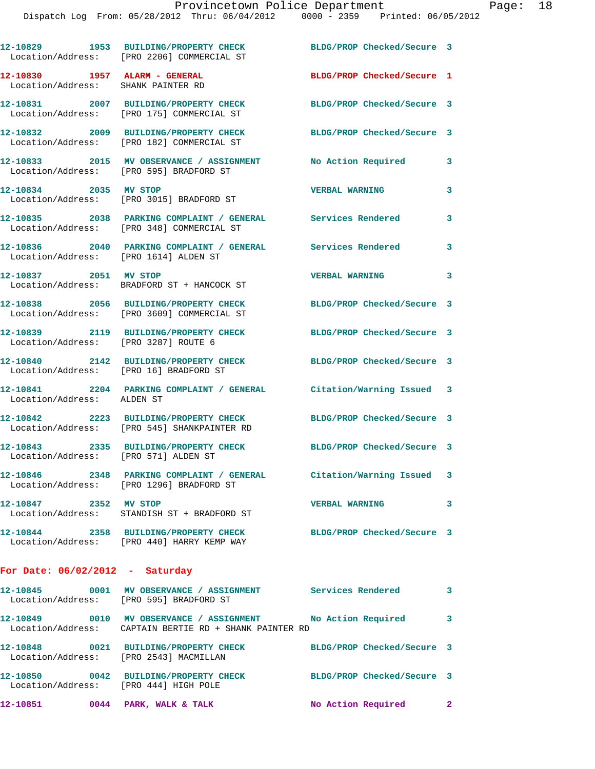|                            | 12-10829 1953 BUILDING/PROPERTY CHECK BLDG/PROP Checked/Secure 3<br>Location/Address: [PRO 2206] COMMERCIAL ST                               |                            |              |
|----------------------------|----------------------------------------------------------------------------------------------------------------------------------------------|----------------------------|--------------|
|                            | $12-10830$ 1957 ALARM - GENERAL<br>Location/Address: SHANK PAINTER RD                                                                        | BLDG/PROP Checked/Secure 1 |              |
|                            | 12-10831 2007 BUILDING/PROPERTY CHECK<br>Location/Address: [PRO 175] COMMERCIAL ST                                                           | BLDG/PROP Checked/Secure 3 |              |
|                            | 12-10832 2009 BUILDING/PROPERTY CHECK<br>Location/Address: [PRO 182] COMMERCIAL ST                                                           | BLDG/PROP Checked/Secure 3 |              |
|                            | 12-10833 2015 MV OBSERVANCE / ASSIGNMENT No Action Required<br>Location/Address: [PRO 595] BRADFORD ST                                       |                            | 3            |
| 12-10834 2035 MV STOP      | Location/Address: [PRO 3015] BRADFORD ST                                                                                                     | <b>VERBAL WARNING</b>      | 3            |
|                            | 12-10835 2038 PARKING COMPLAINT / GENERAL Services Rendered<br>Location/Address: [PRO 348] COMMERCIAL ST                                     |                            | 3            |
|                            | 12-10836 2040 PARKING COMPLAINT / GENERAL Services Rendered<br>Location/Address: [PRO 1614] ALDEN ST                                         |                            | 3            |
| 12-10837 2051 MV STOP      | Location/Address: BRADFORD ST + HANCOCK ST                                                                                                   | <b>VERBAL WARNING</b>      | 3            |
|                            | 12-10838 2056 BUILDING/PROPERTY CHECK<br>Location/Address: [PRO 3609] COMMERCIAL ST                                                          | BLDG/PROP Checked/Secure 3 |              |
|                            | 12-10839 2119 BUILDING/PROPERTY CHECK BLDG/PROP Checked/Secure 3<br>Location/Address: [PRO 3287] ROUTE 6                                     |                            |              |
|                            | 12-10840 2142 BUILDING/PROPERTY CHECK BLDG/PROP Checked/Secure 3<br>Location/Address: [PRO 16] BRADFORD ST                                   |                            |              |
| Location/Address: ALDEN ST | 12-10841 2204 PARKING COMPLAINT / GENERAL Citation/Warning Issued 3                                                                          |                            |              |
|                            | 12-10842 2223 BUILDING/PROPERTY CHECK BLDG/PROP Checked/Secure 3<br>Location/Address: [PRO 545] SHANKPAINTER RD                              |                            |              |
|                            | 12-10843 2335 BUILDING/PROPERTY CHECK<br>Location/Address: [PRO 571] ALDEN ST                                                                | BLDG/PROP Checked/Secure 3 |              |
|                            | 12-10846              2348    PARKING COMPLAINT / GENERAL           Citation/Warning Issued    3<br>Location/Address: [PRO 1296] BRADFORD ST |                            |              |
| 12-10847 2352 MV STOP      | Location/Address: STANDISH ST + BRADFORD ST                                                                                                  | <b>VERBAL WARNING</b>      | 3            |
|                            | 12-10844 2358 BUILDING/PROPERTY CHECK<br>Location/Address: [PRO 440] HARRY KEMP WAY                                                          | BLDG/PROP Checked/Secure 3 |              |
|                            | For Date: $06/02/2012$ - Saturday                                                                                                            |                            |              |
|                            | 12-10845 0001 MV OBSERVANCE / ASSIGNMENT Services Rendered 3<br>Location/Address: [PRO 595] BRADFORD ST                                      |                            |              |
|                            | 12-10849 0010 MV OBSERVANCE / ASSIGNMENT No Action Required<br>Location/Address: CAPTAIN BERTIE RD + SHANK PAINTER RD                        |                            | 3            |
|                            | 12-10848 0021 BUILDING/PROPERTY CHECK BLDG/PROP Checked/Secure 3<br>Location/Address: [PRO 2543] MACMILLAN                                   |                            |              |
|                            | 12-10850 0042 BUILDING/PROPERTY CHECK BLDG/PROP Checked/Secure 3<br>Location/Address: [PRO 444] HIGH POLE                                    |                            |              |
|                            | 12-10851 0044 PARK, WALK & TALK                                                                                                              | No Action Required         | $\mathbf{2}$ |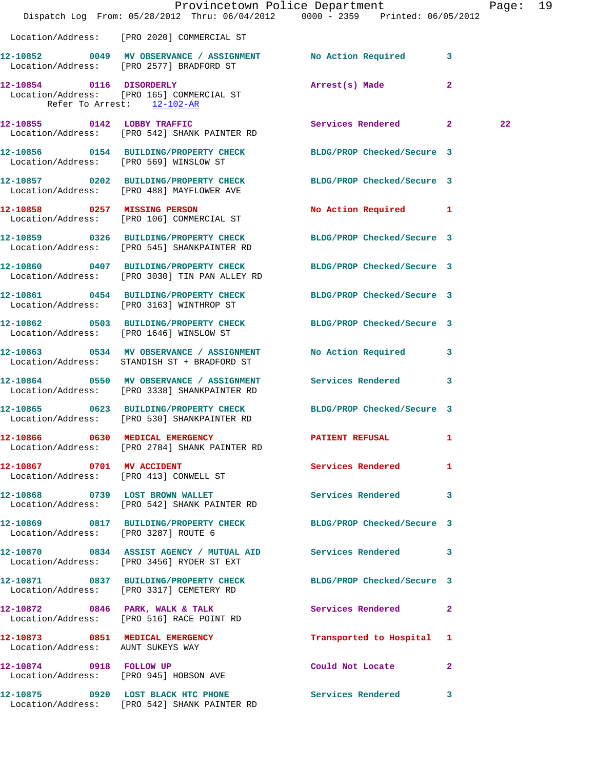|                                        | Dispatch Log From: 05/28/2012 Thru: 06/04/2012 0000 - 2359 Printed: 06/05/2012                                    | Provincetown Police Department | Page: 19 |  |
|----------------------------------------|-------------------------------------------------------------------------------------------------------------------|--------------------------------|----------|--|
|                                        | Location/Address: [PRO 2020] COMMERCIAL ST                                                                        |                                |          |  |
|                                        | 12-10852 0049 MV OBSERVANCE / ASSIGNMENT No Action Required 3<br>Location/Address: [PRO 2577] BRADFORD ST         |                                |          |  |
| Refer To Arrest: 12-102-AR             | 12-10854 0116 DISORDERLY<br>Location/Address: [PRO 165] COMMERCIAL ST                                             | Arrest(s) Made<br>$\mathbf{2}$ |          |  |
|                                        | 12-10855 0142 LOBBY TRAFFIC<br>Location/Address: [PRO 542] SHANK PAINTER RD                                       | Services Rendered 2            | 22       |  |
| Location/Address: [PRO 569] WINSLOW ST | 12-10856 0154 BUILDING/PROPERTY CHECK BLDG/PROP Checked/Secure 3                                                  |                                |          |  |
|                                        | 12-10857 0202 BUILDING/PROPERTY CHECK BLDG/PROP Checked/Secure 3<br>Location/Address: [PRO 488] MAYFLOWER AVE     |                                |          |  |
|                                        | 12-10858 0257 MISSING PERSON<br>Location/Address: [PRO 106] COMMERCIAL ST                                         | No Action Required 1           |          |  |
|                                        | 12-10859 0326 BUILDING/PROPERTY CHECK BLDG/PROP Checked/Secure 3<br>Location/Address: [PRO 545] SHANKPAINTER RD   |                                |          |  |
|                                        | 12-10860 0407 BUILDING/PROPERTY CHECK BLDG/PROP Checked/Secure 3<br>Location/Address: [PRO 3030] TIN PAN ALLEY RD |                                |          |  |
|                                        | 12-10861 0454 BUILDING/PROPERTY CHECK BLDG/PROP Checked/Secure 3<br>Location/Address: [PRO 3163] WINTHROP ST      |                                |          |  |
|                                        | 12-10862 0503 BUILDING/PROPERTY CHECK BLDG/PROP Checked/Secure 3<br>Location/Address: [PRO 1646] WINSLOW ST       |                                |          |  |
|                                        | 12-10863 0534 MV OBSERVANCE / ASSIGNMENT<br>Location/Address: STANDISH ST + BRADFORD ST                           | No Action Required 3           |          |  |
|                                        | 12-10864 0550 MV OBSERVANCE / ASSIGNMENT Services Rendered 3<br>Location/Address: [PRO 3338] SHANKPAINTER RD      |                                |          |  |
|                                        | 12-10865 0623 BUILDING/PROPERTY CHECK BLDG/PROP Checked/Secure 3<br>Location/Address: [PRO 530] SHANKPAINTER RD   |                                |          |  |
|                                        | 12-10866 0630 MEDICAL EMERGENCY<br>Location/Address: [PRO 2784] SHANK PAINTER RD                                  | <b>PATIENT REFUSAL</b>         |          |  |
| 12-10867 0701 MV ACCIDENT              | Location/Address: [PRO 413] CONWELL ST                                                                            | Services Rendered 1            |          |  |
|                                        | 12-10868 0739 LOST BROWN WALLET<br>Location/Address: [PRO 542] SHANK PAINTER RD                                   | Services Rendered 3            |          |  |
| Location/Address: [PRO 3287] ROUTE 6   | 12-10869 0817 BUILDING/PROPERTY CHECK BLDG/PROP Checked/Secure 3                                                  |                                |          |  |
|                                        | 12-10870 0834 ASSIST AGENCY / MUTUAL AID Services Rendered 3<br>Location/Address: [PRO 3456] RYDER ST EXT         |                                |          |  |
|                                        | 12-10871 0837 BUILDING/PROPERTY CHECK BLDG/PROP Checked/Secure 3<br>Location/Address: [PRO 3317] CEMETERY RD      |                                |          |  |
|                                        | 12-10872 0846 PARK, WALK & TALK<br>Location/Address: [PRO 516] RACE POINT RD                                      | Services Rendered 2            |          |  |
| Location/Address: AUNT SUKEYS WAY      | 12-10873 0851 MEDICAL EMERGENCY                                                                                   | Transported to Hospital 1      |          |  |
|                                        | 12-10874 0918 FOLLOW UP<br>Location/Address: [PRO 945] HOBSON AVE                                                 | Could Not Locate 2             |          |  |
|                                        | 12-10875 0920 LOST BLACK HTC PHONE Services Rendered<br>Location/Address: [PRO 542] SHANK PAINTER RD              | $\mathbf{3}$                   |          |  |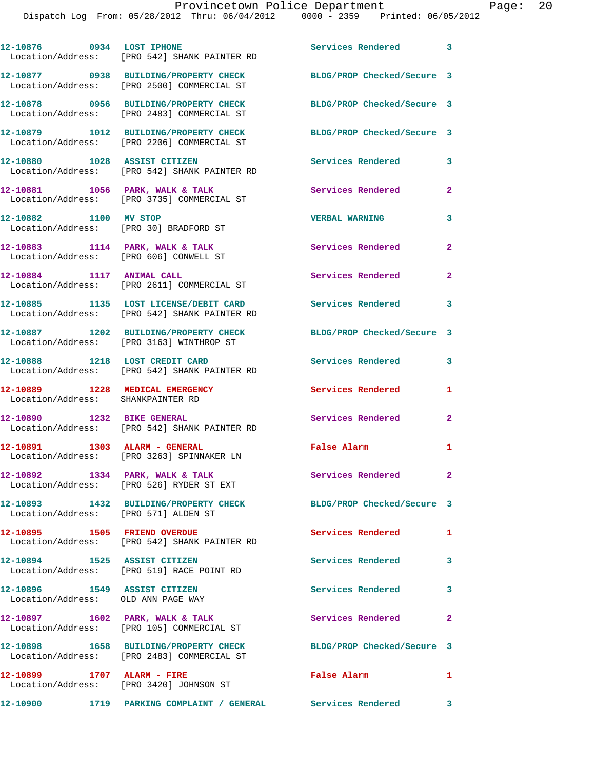|                                                                             | 12-10876 0934 LOST IPHONE<br>Location/Address: [PRO 542] SHANK PAINTER RD             | Services Rendered 3        |                |
|-----------------------------------------------------------------------------|---------------------------------------------------------------------------------------|----------------------------|----------------|
|                                                                             | 12-10877 0938 BUILDING/PROPERTY CHECK<br>Location/Address: [PRO 2500] COMMERCIAL ST   | BLDG/PROP Checked/Secure 3 |                |
|                                                                             | 12-10878 0956 BUILDING/PROPERTY CHECK<br>Location/Address: [PRO 2483] COMMERCIAL ST   | BLDG/PROP Checked/Secure 3 |                |
|                                                                             | 12-10879 1012 BUILDING/PROPERTY CHECK<br>Location/Address: [PRO 2206] COMMERCIAL ST   | BLDG/PROP Checked/Secure 3 |                |
|                                                                             | 12-10880 1028 ASSIST CITIZEN<br>Location/Address: [PRO 542] SHANK PAINTER RD          | Services Rendered          | 3              |
| 12-10881 1056 PARK, WALK & TALK                                             | Location/Address: [PRO 3735] COMMERCIAL ST                                            | Services Rendered          | $\overline{2}$ |
| 12-10882 1100 MV STOP<br>Location/Address: [PRO 30] BRADFORD ST             |                                                                                       | <b>VERBAL WARNING</b>      | 3              |
| $12-10883$ 1114 PARK, WALK & TALK<br>Location/Address: [PRO 606] CONWELL ST |                                                                                       | Services Rendered          | $\mathbf{2}$   |
|                                                                             | 12-10884 1117 ANIMAL CALL<br>Location/Address: [PRO 2611] COMMERCIAL ST               | Services Rendered          | $\overline{2}$ |
|                                                                             | 12-10885 1135 LOST LICENSE/DEBIT CARD<br>Location/Address: [PRO 542] SHANK PAINTER RD | Services Rendered          | 3              |
|                                                                             | 12-10887 1202 BUILDING/PROPERTY CHECK<br>Location/Address: [PRO 3163] WINTHROP ST     | BLDG/PROP Checked/Secure 3 |                |
| 12-10888 1218 LOST CREDIT CARD                                              | Location/Address: [PRO 542] SHANK PAINTER RD                                          | <b>Services Rendered</b>   | 3              |
| 12-10889 1228 MEDICAL EMERGENCY<br>Location/Address: SHANKPAINTER RD        |                                                                                       | Services Rendered          | 1              |
|                                                                             | 12-10890 1232 BIKE GENERAL<br>Location/Address: [PRO 542] SHANK PAINTER RD            | Services Rendered          | $\mathbf{2}$   |
| 12-10891 1303 ALARM - GENERAL                                               | Location/Address: [PRO 3263] SPINNAKER LN                                             | False Alarm                | $\mathbf{1}$   |
| 12-10892                                                                    | 1334 PARK, WALK & TALK<br>Location/Address: [PRO 526] RYDER ST EXT                    | Services Rendered          | $\mathbf{2}^-$ |
| Location/Address: [PRO 571] ALDEN ST                                        | 12-10893 1432 BUILDING/PROPERTY CHECK                                                 | BLDG/PROP Checked/Secure 3 |                |
| 12-10895 1505 FRIEND OVERDUE                                                | Location/Address: [PRO 542] SHANK PAINTER RD                                          | <b>Services Rendered</b>   | 1              |
|                                                                             | 12-10894 1525 ASSIST CITIZEN<br>Location/Address: [PRO 519] RACE POINT RD             | Services Rendered          | 3              |
| 12-10896 1549 ASSIST CITIZEN<br>Location/Address: OLD ANN PAGE WAY          |                                                                                       | Services Rendered          | 3              |
| 12-10897 1602 PARK, WALK & TALK                                             | Location/Address: [PRO 105] COMMERCIAL ST                                             | Services Rendered          | $\mathbf{2}$   |
|                                                                             | 12-10898 1658 BUILDING/PROPERTY CHECK<br>Location/Address: [PRO 2483] COMMERCIAL ST   | BLDG/PROP Checked/Secure 3 |                |
| 12-10899 1707 ALARM - FIRE                                                  | Location/Address: [PRO 3420] JOHNSON ST                                               | False Alarm                | 1              |

**12-10900 1719 PARKING COMPLAINT / GENERAL Services Rendered 3**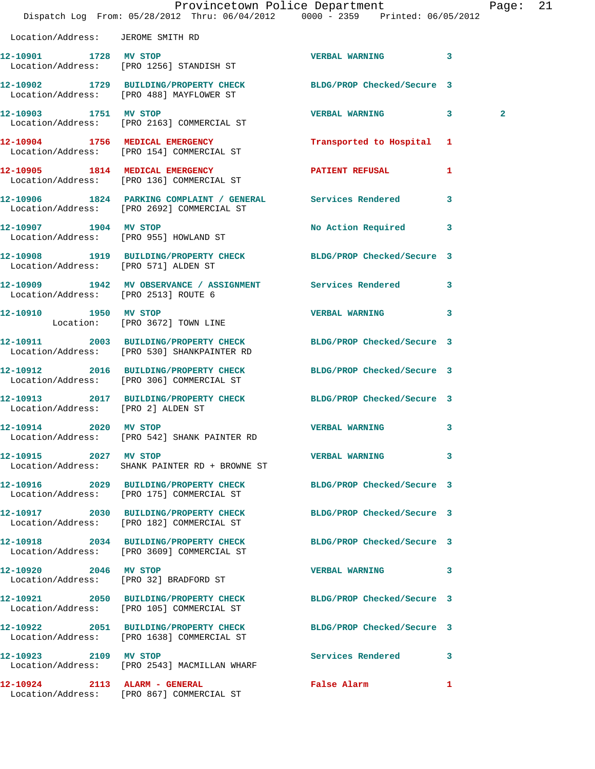|                                      | Dispatch Log From: 05/28/2012 Thru: 06/04/2012 0000 - 2359 Printed: 06/05/2012                                  | Provincetown Police Department |              | Page: 21 |  |
|--------------------------------------|-----------------------------------------------------------------------------------------------------------------|--------------------------------|--------------|----------|--|
| Location/Address: JEROME SMITH RD    |                                                                                                                 |                                |              |          |  |
|                                      | 12-10901 1728 MV STOP<br>Location/Address: [PRO 1256] STANDISH ST                                               | VERBAL WARNING 3               |              |          |  |
|                                      | 12-10902 1729 BUILDING/PROPERTY CHECK BLDG/PROP Checked/Secure 3<br>Location/Address: [PRO 488] MAYFLOWER ST    |                                |              |          |  |
|                                      | 12-10903 1751 MV STOP<br>Location/Address: [PRO 2163] COMMERCIAL ST                                             | VERBAL WARNING 3               |              | 2        |  |
|                                      | 12-10904 1756 MEDICAL EMERGENCY<br>Location/Address: [PRO 154] COMMERCIAL ST                                    | Transported to Hospital 1      |              |          |  |
|                                      | 12-10905 1814 MEDICAL EMERGENCY<br>Location/Address: [PRO 136] COMMERCIAL ST                                    | <b>PATIENT REFUSAL</b>         | 1            |          |  |
|                                      | 12-10906 1824 PARKING COMPLAINT / GENERAL Services Rendered<br>Location/Address: [PRO 2692] COMMERCIAL ST       |                                | 3            |          |  |
|                                      | 12-10907 1904 MV STOP<br>Location/Address: [PRO 955] HOWLAND ST                                                 | No Action Required 3           |              |          |  |
| Location/Address: [PRO 571] ALDEN ST | 12-10908 1919 BUILDING/PROPERTY CHECK BLDG/PROP Checked/Secure 3                                                |                                |              |          |  |
| Location/Address: [PRO 2513] ROUTE 6 | 12-10909 1942 MV OBSERVANCE / ASSIGNMENT Services Rendered 3                                                    |                                |              |          |  |
| Location: [PRO 3672] TOWN LINE       | 12-10910 1950 MV STOP                                                                                           | VERBAL WARNING 3               |              |          |  |
|                                      | 12-10911 2003 BUILDING/PROPERTY CHECK BLDG/PROP Checked/Secure 3<br>Location/Address: [PRO 530] SHANKPAINTER RD |                                |              |          |  |
|                                      | 12-10912 2016 BUILDING/PROPERTY CHECK BLDG/PROP Checked/Secure 3<br>Location/Address: [PRO 306] COMMERCIAL ST   |                                |              |          |  |
| Location/Address: [PRO 2] ALDEN ST   | 12-10913 2017 BUILDING/PROPERTY CHECK BLDG/PROP Checked/Secure 3                                                |                                |              |          |  |
| 12-10914 2020                        | MV STOP<br>Location/Address: [PRO 542] SHANK PAINTER RD                                                         | <b>VERBAL WARNING</b>          | 3            |          |  |
| 12-10915 2027 MV STOP                | Location/Address: SHANK PAINTER RD + BROWNE ST                                                                  | <b>VERBAL WARNING</b>          | 3            |          |  |
|                                      | 12-10916 2029 BUILDING/PROPERTY CHECK BLDG/PROP Checked/Secure 3<br>Location/Address: [PRO 175] COMMERCIAL ST   |                                |              |          |  |
|                                      | 12-10917 2030 BUILDING/PROPERTY CHECK<br>Location/Address: [PRO 182] COMMERCIAL ST                              | BLDG/PROP Checked/Secure 3     |              |          |  |
|                                      | 12-10918 2034 BUILDING/PROPERTY CHECK BLDG/PROP Checked/Secure 3<br>Location/Address: [PRO 3609] COMMERCIAL ST  |                                |              |          |  |
| 12-10920 2046 MV STOP                | Location/Address: [PRO 32] BRADFORD ST                                                                          | VERBAL WARNING 3               |              |          |  |
|                                      | 12-10921 2050 BUILDING/PROPERTY CHECK BLDG/PROP Checked/Secure 3<br>Location/Address: [PRO 105] COMMERCIAL ST   |                                |              |          |  |
|                                      | 12-10922 2051 BUILDING/PROPERTY CHECK BLDG/PROP Checked/Secure 3<br>Location/Address: [PRO 1638] COMMERCIAL ST  |                                |              |          |  |
|                                      | 12-10923 2109 MV STOP<br>Location/Address: [PRO 2543] MACMILLAN WHARF                                           | <b>Services Rendered</b>       | 3            |          |  |
| 12-10924 2113 ALARM - GENERAL        | Location/Address: [PRO 867] COMMERCIAL ST                                                                       | <b>False Alarm</b>             | $\mathbf{1}$ |          |  |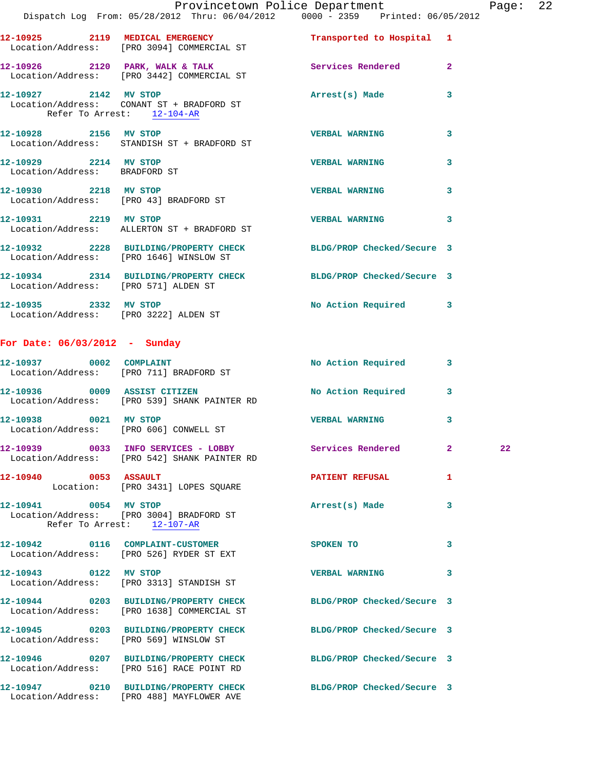|                                 | Provincetown Police Department Page: 22                                                                              |                            |   |    |  |
|---------------------------------|----------------------------------------------------------------------------------------------------------------------|----------------------------|---|----|--|
|                                 | Dispatch Log From: 05/28/2012 Thru: 06/04/2012 0000 - 2359 Printed: 06/05/2012                                       |                            |   |    |  |
|                                 | 12-10925 2119 MEDICAL EMERGENCY Transported to Hospital 1<br>Location/Address: [PRO 3094] COMMERCIAL ST              |                            |   |    |  |
|                                 | 12-10926 2120 PARK, WALK & TALK Services Rendered 2<br>Location/Address: [PRO 3442] COMMERCIAL ST                    |                            |   |    |  |
|                                 | 12-10927 2142 MV STOP 2008 Arrest(s) Made<br>Location/Address: CONANT ST + BRADFORD ST<br>Refer To Arrest: 12-104-AR |                            | 3 |    |  |
|                                 | 12-10928 2156 MV STOP<br>Location/Address: STANDISH ST + BRADFORD ST                                                 | <b>VERBAL WARNING</b>      | 3 |    |  |
| 12-10929 2214 MV STOP           | Location/Address: BRADFORD ST                                                                                        | <b>VERBAL WARNING</b>      | 3 |    |  |
|                                 | 12-10930 2218 MV STOP<br>Location/Address: [PRO 43] BRADFORD ST                                                      | <b>VERBAL WARNING</b>      | 3 |    |  |
| 12-10931 2219 MV STOP           | Location/Address: ALLERTON ST + BRADFORD ST                                                                          | <b>VERBAL WARNING</b> 3    |   |    |  |
|                                 | 12-10932 2228 BUILDING/PROPERTY CHECK BLDG/PROP Checked/Secure 3<br>Location/Address: [PRO 1646] WINSLOW ST          |                            |   |    |  |
|                                 | 12-10934 2314 BUILDING/PROPERTY CHECK BLDG/PROP Checked/Secure 3<br>Location/Address: [PRO 571] ALDEN ST             |                            |   |    |  |
|                                 | 12-10935 2332 MV STOP<br>Location/Address: [PRO 3222] ALDEN ST                                                       | No Action Required 3       |   |    |  |
| For Date: $06/03/2012$ - Sunday |                                                                                                                      |                            |   |    |  |
|                                 | 12-10937 0002 COMPLAINT<br>Location/Address: [PRO 711] BRADFORD ST                                                   | No Action Required         | 3 |    |  |
|                                 | 12-10936 0009 ASSIST CITIZEN<br>Location/Address: [PRO 539] SHANK PAINTER RD                                         | No Action Required 3       |   |    |  |
|                                 | 12-10938 0021 MV STOP<br>Location/Address: [PRO 606] CONWELL ST                                                      | <b>VERBAL WARNING</b>      | 3 |    |  |
|                                 | 12-10939 0033 INFO SERVICES - LOBBY Services Rendered 2<br>Location/Address: [PRO 542] SHANK PAINTER RD              |                            |   | 22 |  |
| 12-10940 0053 ASSAULT           | Location: [PRO 3431] LOPES SQUARE                                                                                    | PATIENT REFUSAL            | 1 |    |  |
| 12-10941 0054 MV STOP           | Location/Address: [PRO 3004] BRADFORD ST<br>Refer To Arrest: $\frac{12-107-R}{2}$                                    | Arrest(s) Made             | 3 |    |  |
|                                 | 12-10942 0116 COMPLAINT-CUSTOMER SPOKEN TO<br>Location/Address: [PRO 526] RYDER ST EXT                               |                            | 3 |    |  |
| 12-10943 0122 MV STOP           | Location/Address: [PRO 3313] STANDISH ST                                                                             | <b>VERBAL WARNING</b>      | 3 |    |  |
|                                 | 12-10944 0203 BUILDING/PROPERTY CHECK BLDG/PROP Checked/Secure 3<br>Location/Address: [PRO 1638] COMMERCIAL ST       |                            |   |    |  |
|                                 | 12-10945 0203 BUILDING/PROPERTY CHECK BLDG/PROP Checked/Secure 3<br>Location/Address: [PRO 569] WINSLOW ST           |                            |   |    |  |
|                                 | 12-10946 0207 BUILDING/PROPERTY CHECK BLDG/PROP Checked/Secure 3<br>Location/Address: [PRO 516] RACE POINT RD        |                            |   |    |  |
|                                 | 12-10947 0210 BUILDING/PROPERTY CHECK                                                                                | BLDG/PROP Checked/Secure 3 |   |    |  |

Location/Address: [PRO 488] MAYFLOWER AVE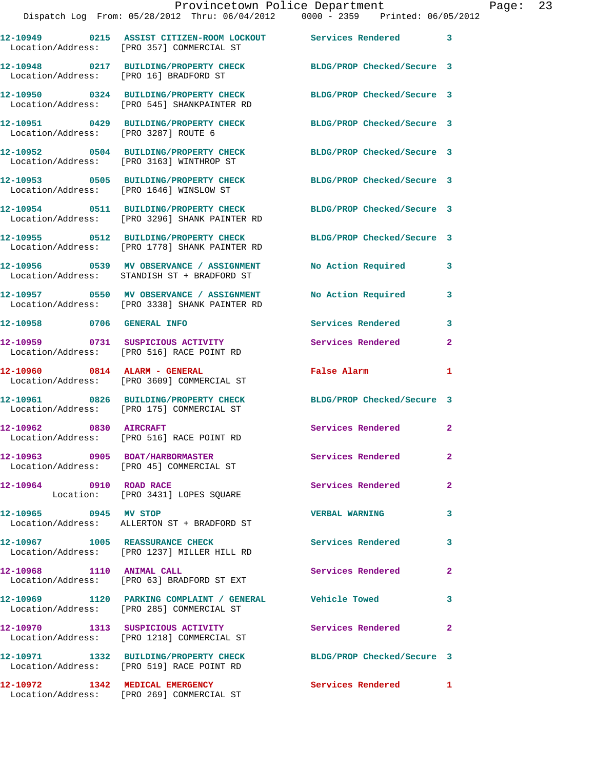|                                        | Provincetown Police Department                                                                           |                            |                |
|----------------------------------------|----------------------------------------------------------------------------------------------------------|----------------------------|----------------|
|                                        | Dispatch Log From: 05/28/2012 Thru: 06/04/2012 0000 - 2359 Printed: 06/05/2012                           |                            |                |
|                                        | 12-10949 0215 ASSIST CITIZEN-ROOM LOCKOUT Services Rendered<br>Location/Address: [PRO 357] COMMERCIAL ST |                            | 3              |
| Location/Address: [PRO 16] BRADFORD ST | 12-10948 0217 BUILDING/PROPERTY CHECK BLDG/PROP Checked/Secure 3                                         |                            |                |
|                                        | 12-10950 0324 BUILDING/PROPERTY CHECK<br>Location/Address: [PRO 545] SHANKPAINTER RD                     | BLDG/PROP Checked/Secure 3 |                |
| Location/Address: [PRO 3287] ROUTE 6   | 12-10951 0429 BUILDING/PROPERTY CHECK                                                                    | BLDG/PROP Checked/Secure 3 |                |
|                                        | 12-10952 0504 BUILDING/PROPERTY CHECK<br>Location/Address: [PRO 3163] WINTHROP ST                        | BLDG/PROP Checked/Secure 3 |                |
|                                        | 12-10953 0505 BUILDING/PROPERTY CHECK<br>Location/Address: [PRO 1646] WINSLOW ST                         | BLDG/PROP Checked/Secure 3 |                |
|                                        | 12-10954 0511 BUILDING/PROPERTY CHECK<br>Location/Address: [PRO 3296] SHANK PAINTER RD                   | BLDG/PROP Checked/Secure 3 |                |
|                                        | 12-10955 0512 BUILDING/PROPERTY CHECK<br>Location/Address: [PRO 1778] SHANK PAINTER RD                   | BLDG/PROP Checked/Secure 3 |                |
|                                        | 12-10956 0539 MV OBSERVANCE / ASSIGNMENT<br>Location/Address: STANDISH ST + BRADFORD ST                  | No Action Required         | 3              |
|                                        | 12-10957 0550 MV OBSERVANCE / ASSIGNMENT<br>Location/Address: [PRO 3338] SHANK PAINTER RD                | No Action Required         | 3              |
| 12-10958 0706 GENERAL INFO             |                                                                                                          | Services Rendered          | 3              |
|                                        | 12-10959 0731 SUSPICIOUS ACTIVITY<br>Location/Address: [PRO 516] RACE POINT RD                           | Services Rendered          | 2              |
|                                        | 12-10960 0814 ALARM - GENERAL<br>Location/Address: [PRO 3609] COMMERCIAL ST                              | False Alarm                | 1              |
|                                        | 12-10961 0826 BUILDING/PROPERTY CHECK<br>Location/Address: [PRO 175] COMMERCIAL ST                       | BLDG/PROP Checked/Secure 3 |                |
| 12-10962 0830 AIRCRAFT                 | Location/Address: [PRO 516] RACE POINT RD                                                                | Services Rendered          | $\mathbf{2}$   |
|                                        | 12-10963 0905 BOAT/HARBORMASTER<br>Location/Address: [PRO 45] COMMERCIAL ST                              | Services Rendered          | $\overline{a}$ |
| 12-10964 0910 ROAD RACE                | Location: [PRO 3431] LOPES SQUARE                                                                        | Services Rendered          | $\mathbf{2}$   |
| 12-10965 0945 MV STOP                  | Location/Address: ALLERTON ST + BRADFORD ST                                                              | <b>VERBAL WARNING</b>      | 3              |
|                                        | 12-10967 1005 REASSURANCE CHECK<br>Location/Address: [PRO 1237] MILLER HILL RD                           | <b>Services Rendered</b>   | 3              |
| 12-10968 1110 ANIMAL CALL              | Location/Address: [PRO 63] BRADFORD ST EXT                                                               | Services Rendered          | 2              |
|                                        | 12-10969 1120 PARKING COMPLAINT / GENERAL Vehicle Towed<br>Location/Address: [PRO 285] COMMERCIAL ST     |                            | 3              |
|                                        | 12-10970 1313 SUSPICIOUS ACTIVITY<br>Location/Address: [PRO 1218] COMMERCIAL ST                          | <b>Services Rendered</b>   | 2              |
|                                        | 12-10971 1332 BUILDING/PROPERTY CHECK<br>Location/Address: [PRO 519] RACE POINT RD                       | BLDG/PROP Checked/Secure 3 |                |
| 12-10972 1342 MEDICAL EMERGENCY        |                                                                                                          | <b>Services Rendered</b>   | 1              |

Location/Address: [PRO 269] COMMERCIAL ST

Page: 23<br>12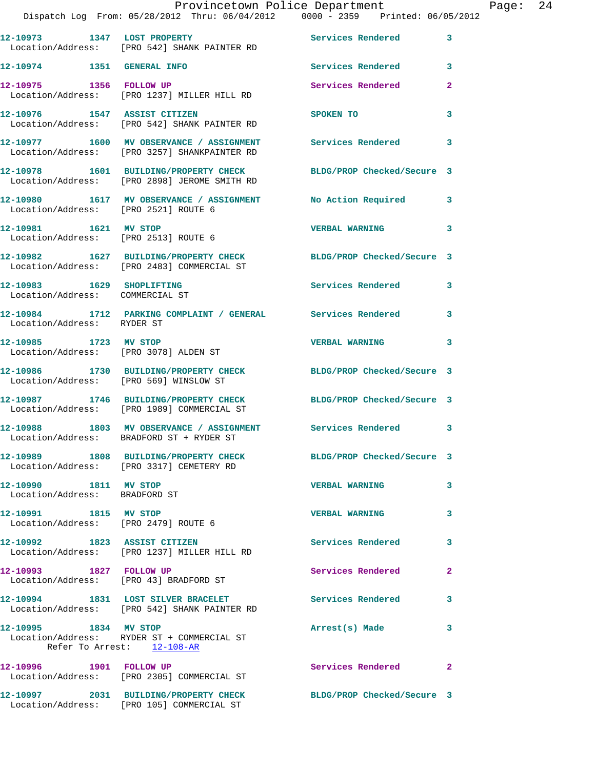|                                                              | Dispatch Log From: 05/28/2012 Thru: 06/04/2012   0000 - 2359   Printed: 06/05/2012                               | Provincetown Police Department |                | Page: 24 |  |
|--------------------------------------------------------------|------------------------------------------------------------------------------------------------------------------|--------------------------------|----------------|----------|--|
|                                                              | 12-10973 1347 LOST PROPERTY                                                                                      | <b>Services Rendered</b>       | $\mathbf{3}$   |          |  |
|                                                              | Location/Address: [PRO 542] SHANK PAINTER RD                                                                     |                                |                |          |  |
| 12-10974 1351 GENERAL INFO                                   |                                                                                                                  | Services Rendered 3            |                |          |  |
|                                                              | 12-10975 1356 FOLLOW UP<br>Location/Address: [PRO 1237] MILLER HILL RD                                           | Services Rendered              | $\mathbf{2}$   |          |  |
|                                                              | 12-10976 1547 ASSIST CITIZEN<br>Location/Address: [PRO 542] SHANK PAINTER RD                                     | SPOKEN TO                      | 3              |          |  |
|                                                              | 12-10977 1600 MV OBSERVANCE / ASSIGNMENT Services Rendered<br>Location/Address: [PRO 3257] SHANKPAINTER RD       |                                | 3              |          |  |
|                                                              | 12-10978 1601 BUILDING/PROPERTY CHECK BLDG/PROP Checked/Secure 3<br>Location/Address: [PRO 2898] JEROME SMITH RD |                                |                |          |  |
| Location/Address: [PRO 2521] ROUTE 6                         | 12-10980 1617 MV OBSERVANCE / ASSIGNMENT No Action Required 3                                                    |                                |                |          |  |
| 12-10981 1621 MV STOP                                        | Location/Address: [PRO 2513] ROUTE 6                                                                             | <b>VERBAL WARNING</b>          | 3              |          |  |
|                                                              | 12-10982 1627 BUILDING/PROPERTY CHECK BLDG/PROP Checked/Secure 3<br>Location/Address: [PRO 2483] COMMERCIAL ST   |                                |                |          |  |
| 12-10983 1629 SHOPLIFTING<br>Location/Address: COMMERCIAL ST |                                                                                                                  | Services Rendered              | 3              |          |  |
| Location/Address: RYDER ST                                   | 12-10984 1712 PARKING COMPLAINT / GENERAL Services Rendered                                                      |                                | 3              |          |  |
| 12-10985 1723 MV STOP                                        | Location/Address: [PRO 3078] ALDEN ST                                                                            | <b>VERBAL WARNING</b>          | 3              |          |  |
| Location/Address: [PRO 569] WINSLOW ST                       | 12-10986 1730 BUILDING/PROPERTY CHECK BLDG/PROP Checked/Secure 3                                                 |                                |                |          |  |
|                                                              | 12-10987 1746 BUILDING/PROPERTY CHECK BLDG/PROP Checked/Secure 3<br>Location/Address: [PRO 1989] COMMERCIAL ST   |                                |                |          |  |
|                                                              | 12-10988 1803 MV OBSERVANCE / ASSIGNMENT Services Rendered 3<br>Location/Address: BRADFORD ST + RYDER ST         |                                |                |          |  |
|                                                              | 12-10989 1808 BUILDING/PROPERTY CHECK BLDG/PROP Checked/Secure 3<br>Location/Address: [PRO 3317] CEMETERY RD     |                                |                |          |  |
| 12-10990 1811 MV STOP<br>Location/Address: BRADFORD ST       |                                                                                                                  | <b>VERBAL WARNING</b>          | 3              |          |  |
| 12-10991 1815 MV STOP                                        | Location/Address: [PRO 2479] ROUTE 6                                                                             | <b>VERBAL WARNING</b>          | 3              |          |  |
|                                                              | 12-10992 1823 ASSIST CITIZEN<br>Location/Address: [PRO 1237] MILLER HILL RD                                      | Services Rendered              | 3              |          |  |
| 12-10993 1827 FOLLOW UP                                      | Location/Address: [PRO 43] BRADFORD ST                                                                           | Services Rendered              | $\overline{2}$ |          |  |
|                                                              | 12-10994 1831 LOST SILVER BRACELET<br>Location/Address: [PRO 542] SHANK PAINTER RD                               | Services Rendered              | 3              |          |  |
| 12-10995 1834 MV STOP<br>Refer To Arrest: 12-108-AR          | Location/Address: RYDER ST + COMMERCIAL ST                                                                       | Arrest(s) Made                 | 3              |          |  |
| 12-10996 1901 FOLLOW UP                                      | Location/Address: [PRO 2305] COMMERCIAL ST                                                                       | Services Rendered              | $\mathbf{2}$   |          |  |
|                                                              | 12-10997 2031 BUILDING/PROPERTY CHECK BLDG/PROP Checked/Secure 3                                                 |                                |                |          |  |

Location/Address: [PRO 105] COMMERCIAL ST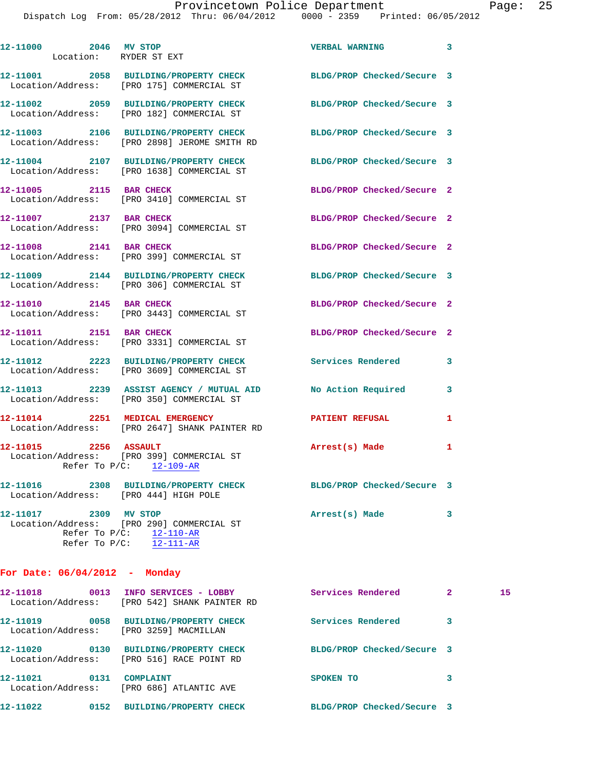| 12-11000 2046 MV STOP<br>Location: RYDER ST EXT |                                                                                                                | <b>VERBAL WARNING</b>      | 3                    |
|-------------------------------------------------|----------------------------------------------------------------------------------------------------------------|----------------------------|----------------------|
|                                                 | 12-11001 2058 BUILDING/PROPERTY CHECK<br>Location/Address: [PRO 175] COMMERCIAL ST                             | BLDG/PROP Checked/Secure 3 |                      |
|                                                 | 12-11002 2059 BUILDING/PROPERTY CHECK<br>Location/Address: [PRO 182] COMMERCIAL ST                             | BLDG/PROP Checked/Secure 3 |                      |
|                                                 | 12-11003 2106 BUILDING/PROPERTY CHECK<br>Location/Address: [PRO 2898] JEROME SMITH RD                          | BLDG/PROP Checked/Secure 3 |                      |
|                                                 | 12-11004 2107 BUILDING/PROPERTY CHECK BLDG/PROP Checked/Secure 3<br>Location/Address: [PRO 1638] COMMERCIAL ST |                            |                      |
| 12-11005 2115 BAR CHECK                         | Location/Address: [PRO 3410] COMMERCIAL ST                                                                     | BLDG/PROP Checked/Secure 2 |                      |
|                                                 | 12-11007 2137 BAR CHECK<br>Location/Address: [PRO 3094] COMMERCIAL ST                                          | BLDG/PROP Checked/Secure 2 |                      |
| 12-11008 2141 BAR CHECK                         | Location/Address: [PRO 399] COMMERCIAL ST                                                                      | BLDG/PROP Checked/Secure 2 |                      |
|                                                 | 12-11009 2144 BUILDING/PROPERTY CHECK BLDG/PROP Checked/Secure 3<br>Location/Address: [PRO 306] COMMERCIAL ST  |                            |                      |
| 12-11010 2145 BAR CHECK                         | Location/Address: [PRO 3443] COMMERCIAL ST                                                                     | BLDG/PROP Checked/Secure 2 |                      |
|                                                 | 12-11011 2151 BAR CHECK<br>Location/Address: [PRO 3331] COMMERCIAL ST                                          | BLDG/PROP Checked/Secure 2 |                      |
|                                                 | 12-11012 2223 BUILDING/PROPERTY CHECK<br>Location/Address: [PRO 3609] COMMERCIAL ST                            | Services Rendered          | 3                    |
|                                                 | 12-11013 2239 ASSIST AGENCY / MUTUAL AID No Action Required<br>Location/Address: [PRO 350] COMMERCIAL ST       |                            | 3                    |
|                                                 | 12-11014 2251 MEDICAL EMERGENCY<br>Location/Address: [PRO 2647] SHANK PAINTER RD                               | PATIENT REFUSAL            | 1                    |
| 12-11015 2256 ASSAULT                           | Location/Address: [PRO 399] COMMERCIAL ST<br>Refer To $P/C$ : 12-109-AR                                        | Arrest(s) Made             | 1                    |
| Location/Address: [PRO 444] HIGH POLE           | 12-11016 2308 BUILDING/PROPERTY CHECK BLDG/PROP Checked/Secure 3                                               |                            |                      |
| 12-11017 2309 MV STOP                           | Location/Address: [PRO 290] COMMERCIAL ST<br>Refer To $P/C:$ 12-110-AR<br>Refer To $P/C$ : 12-111-AR           | Arrest(s) Made             | 3                    |
| For Date: $06/04/2012$ - Monday                 |                                                                                                                |                            |                      |
|                                                 | 12-11018 0013 INFO SERVICES - LOBBY<br>Location/Address: [PRO 542] SHANK PAINTER RD                            | Services Rendered          | 15<br>$\mathbf{2}^-$ |
|                                                 | 12-11019 0058 BUILDING/PROPERTY CHECK<br>Location/Address: [PRO 3259] MACMILLAN                                | <b>Services Rendered</b>   | 3                    |
|                                                 | 12-11020 0130 BUILDING/PROPERTY CHECK<br>Location/Address: [PRO 516] RACE POINT RD                             | BLDG/PROP Checked/Secure 3 |                      |
| 12-11021 0131 COMPLAINT                         | Location/Address: [PRO 686] ATLANTIC AVE                                                                       | SPOKEN TO                  | 3                    |

**12-11022 0152 BUILDING/PROPERTY CHECK BLDG/PROP Checked/Secure 3**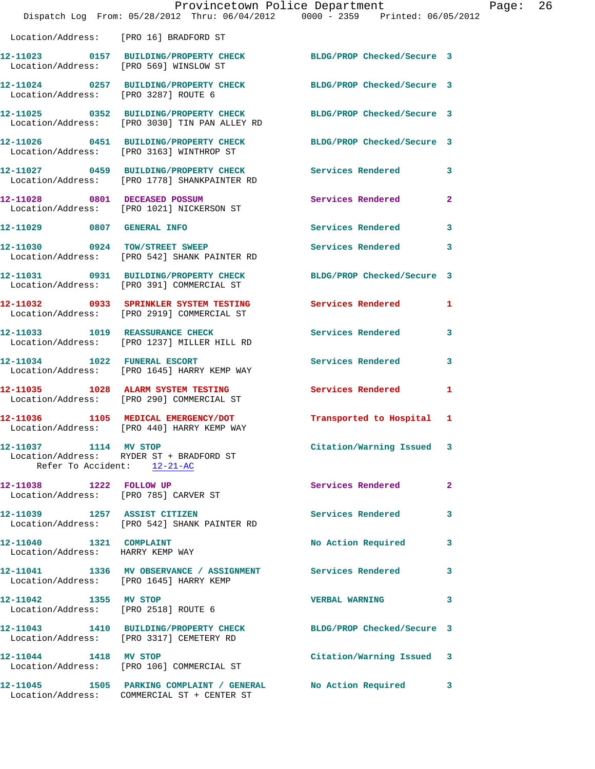|                                                                  | Dispatch Log From: 05/28/2012 Thru: 06/04/2012 0000 - 2359 Printed: 06/05/2012                                    | Provincetown Police Department |              | Page: | 26 |
|------------------------------------------------------------------|-------------------------------------------------------------------------------------------------------------------|--------------------------------|--------------|-------|----|
| Location/Address: [PRO 16] BRADFORD ST                           |                                                                                                                   |                                |              |       |    |
| Location/Address: [PRO 569] WINSLOW ST                           | 12-11023 0157 BUILDING/PROPERTY CHECK BLDG/PROP Checked/Secure 3                                                  |                                |              |       |    |
|                                                                  | 12-11024 0257 BUILDING/PROPERTY CHECK BLDG/PROP Checked/Secure 3<br>Location/Address: [PRO 3287] ROUTE 6          |                                |              |       |    |
|                                                                  | 12-11025 0352 BUILDING/PROPERTY CHECK BLDG/PROP Checked/Secure 3<br>Location/Address: [PRO 3030] TIN PAN ALLEY RD |                                |              |       |    |
|                                                                  | 12-11026 0451 BUILDING/PROPERTY CHECK BLDG/PROP Checked/Secure 3<br>Location/Address: [PRO 3163] WINTHROP ST      |                                |              |       |    |
|                                                                  | 12-11027 0459 BUILDING/PROPERTY CHECK Services Rendered 3<br>Location/Address: [PRO 1778] SHANKPAINTER RD         |                                |              |       |    |
|                                                                  | 12-11028 0801 DECEASED POSSUM<br>Location/Address: [PRO 1021] NICKERSON ST                                        | Services Rendered              | $\mathbf{2}$ |       |    |
|                                                                  | 12-11029 0807 GENERAL INFO                                                                                        | Services Rendered              | 3            |       |    |
|                                                                  | 12-11030 0924 TOW/STREET SWEEP<br>Location/Address: [PRO 542] SHANK PAINTER RD                                    | Services Rendered              | 3            |       |    |
|                                                                  | 12-11031 0931 BUILDING/PROPERTY CHECK BLDG/PROP Checked/Secure 3<br>Location/Address: [PRO 391] COMMERCIAL ST     |                                |              |       |    |
|                                                                  | 12-11032 0933 SPRINKLER SYSTEM TESTING Services Rendered 1<br>Location/Address: [PRO 2919] COMMERCIAL ST          |                                |              |       |    |
|                                                                  | 12-11033 1019 REASSURANCE CHECK<br>Location/Address: [PRO 1237] MILLER HILL RD                                    | Services Rendered              | 3            |       |    |
|                                                                  | 12-11034 1022 FUNERAL ESCORT<br>Location/Address: [PRO 1645] HARRY KEMP WAY                                       | Services Rendered              | 3            |       |    |
|                                                                  | 12-11035 1028 ALARM SYSTEM TESTING<br>Location/Address: [PRO 290] COMMERCIAL ST                                   | <b>Services Rendered</b>       | 1            |       |    |
|                                                                  | 12-11036 1105 MEDICAL EMERGENCY/DOT<br>Location/Address: [PRO 440] HARRY KEMP WAY                                 | Transported to Hospital 1      |              |       |    |
| 12-11037 1114 MV STOP<br>Refer To Accident: 12-21-AC             | Location/Address: RYDER ST + BRADFORD ST                                                                          | Citation/Warning Issued 3      |              |       |    |
| 12-11038 1222 FOLLOW UP<br>Location/Address: [PRO 785] CARVER ST |                                                                                                                   | Services Rendered              | $\mathbf{2}$ |       |    |
|                                                                  | 12-11039 1257 ASSIST CITIZEN<br>Location/Address: [PRO 542] SHANK PAINTER RD                                      | Services Rendered              | 3            |       |    |
| 12-11040   1321   COMPLAINT<br>Location/Address: HARRY KEMP WAY  |                                                                                                                   | No Action Required             | 3            |       |    |
| Location/Address: [PRO 1645] HARRY KEMP                          | 12-11041 1336 MV OBSERVANCE / ASSIGNMENT Services Rendered                                                        |                                | 3            |       |    |
| 12-11042 1355 MV STOP                                            | Location/Address: [PRO 2518] ROUTE 6                                                                              | <b>VERBAL WARNING</b>          | 3            |       |    |
|                                                                  | 12-11043 1410 BUILDING/PROPERTY CHECK BLDG/PROP Checked/Secure 3<br>Location/Address: [PRO 3317] CEMETERY RD      |                                |              |       |    |
| 12-11044 1418 MV STOP                                            | Location/Address: [PRO 106] COMMERCIAL ST                                                                         | Citation/Warning Issued 3      |              |       |    |
|                                                                  | 12-11045 1505 PARKING COMPLAINT / GENERAL<br>Location/Address: COMMERCIAL ST + CENTER ST                          | No Action Required             | 3            |       |    |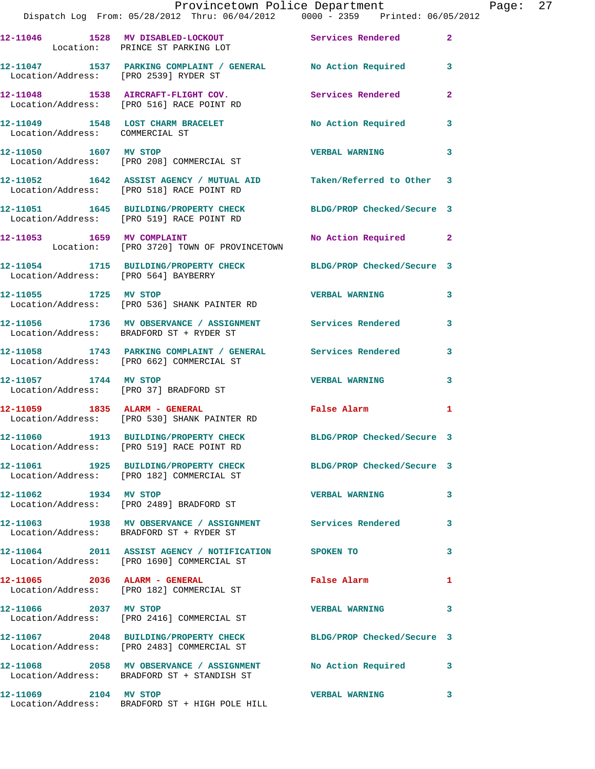|                                 | Provincetown Police Department The Rage: 27<br>Dispatch Log From: 05/28/2012 Thru: 06/04/2012   0000 - 2359   Printed: 06/05/2012 |                            |              |  |
|---------------------------------|-----------------------------------------------------------------------------------------------------------------------------------|----------------------------|--------------|--|
|                                 | 12-11046 1528 MV DISABLED-LOCKOUT Services Rendered 2<br>Location: PRINCE ST PARKING LOT                                          |                            |              |  |
|                                 | 12-11047 1537 PARKING COMPLAINT / GENERAL No Action Required 3<br>Location/Address: [PRO 2539] RYDER ST                           |                            |              |  |
|                                 | 12-11048 1538 AIRCRAFT-FLIGHT COV.               Services Rendered Location/Address:     [PRO 516] RACE POINT RD                  |                            | $\mathbf{2}$ |  |
| Location/Address: COMMERCIAL ST | 12-11049 1548 LOST CHARM BRACELET No Action Required 3                                                                            |                            |              |  |
|                                 | 12-11050 1607 MV STOP<br>Location/Address: [PRO 208] COMMERCIAL ST                                                                | VERBAL WARNING 3           |              |  |
|                                 | 12-11052 1642 ASSIST AGENCY / MUTUAL AID Taken/Referred to Other 3<br>Location/Address: [PRO 518] RACE POINT RD                   |                            |              |  |
|                                 | 12-11051 1645 BUILDING/PROPERTY CHECK BLDG/PROP Checked/Secure 3<br>Location/Address: [PRO 519] RACE POINT RD                     |                            |              |  |
|                                 | 12-11053 1659 MV COMPLAINT 12-11053 No Action Required 2<br>Location: [PRO 3720] TOWN OF PROVINCETOWN                             |                            |              |  |
|                                 | 12-11054 1715 BUILDING/PROPERTY CHECK BLDG/PROP Checked/Secure 3<br>Location/Address: [PRO 564] BAYBERRY                          |                            |              |  |
|                                 | 12-11055 1725 MV STOP 12-11055<br>Location/Address: [PRO 536] SHANK PAINTER RD                                                    |                            | 3            |  |
|                                 | 12-11056 1736 MV OBSERVANCE / ASSIGNMENT Services Rendered 3<br>Location/Address: BRADFORD ST + RYDER ST                          |                            |              |  |
|                                 | 12-11058 1743 PARKING COMPLAINT / GENERAL Services Rendered 3<br>Location/Address: [PRO 662] COMMERCIAL ST                        |                            |              |  |
| 12-11057 1744 MV STOP           | Location/Address: [PRO 37] BRADFORD ST                                                                                            | <b>VERBAL WARNING 3</b>    |              |  |
|                                 | 12-11059 1835 ALARM - GENERAL<br>Location/Address: [PRO 530] SHANK PAINTER RD                                                     | False Alarm                | 1            |  |
|                                 | 12-11060 1913 BUILDING/PROPERTY CHECK<br>Location/Address: [PRO 519] RACE POINT RD                                                | BLDG/PROP Checked/Secure 3 |              |  |
|                                 | 12-11061 1925 BUILDING/PROPERTY CHECK BLDG/PROP Checked/Secure 3<br>Location/Address: [PRO 182] COMMERCIAL ST                     |                            |              |  |
| 12-11062 1934 MV STOP           | Location/Address: [PRO 2489] BRADFORD ST                                                                                          | <b>VERBAL WARNING</b>      | 3            |  |
|                                 | 12-11063 1938 MV OBSERVANCE / ASSIGNMENT Services Rendered<br>Location/Address: BRADFORD ST + RYDER ST                            |                            | 3            |  |
|                                 | 12-11064 2011 ASSIST AGENCY / NOTIFICATION SPOKEN TO<br>Location/Address: [PRO 1690] COMMERCIAL ST                                |                            | 3            |  |
|                                 | 12-11065 2036 ALARM - GENERAL<br>Location/Address: [PRO 182] COMMERCIAL ST                                                        | False Alarm                | 1            |  |
| 12-11066 2037 MV STOP           | Location/Address: [PRO 2416] COMMERCIAL ST                                                                                        | <b>VERBAL WARNING</b>      | 3            |  |
|                                 | 12-11067 2048 BUILDING/PROPERTY CHECK BLDG/PROP Checked/Secure 3<br>Location/Address: [PRO 2483] COMMERCIAL ST                    |                            |              |  |
|                                 | 12-11068 2058 MV OBSERVANCE / ASSIGNMENT No Action Required 3<br>Location/Address: BRADFORD ST + STANDISH ST                      |                            |              |  |
| 12-11069 2104 MV STOP           | Location/Address: BRADFORD ST + HIGH POLE HILL                                                                                    | <b>VERBAL WARNING</b>      | 3            |  |